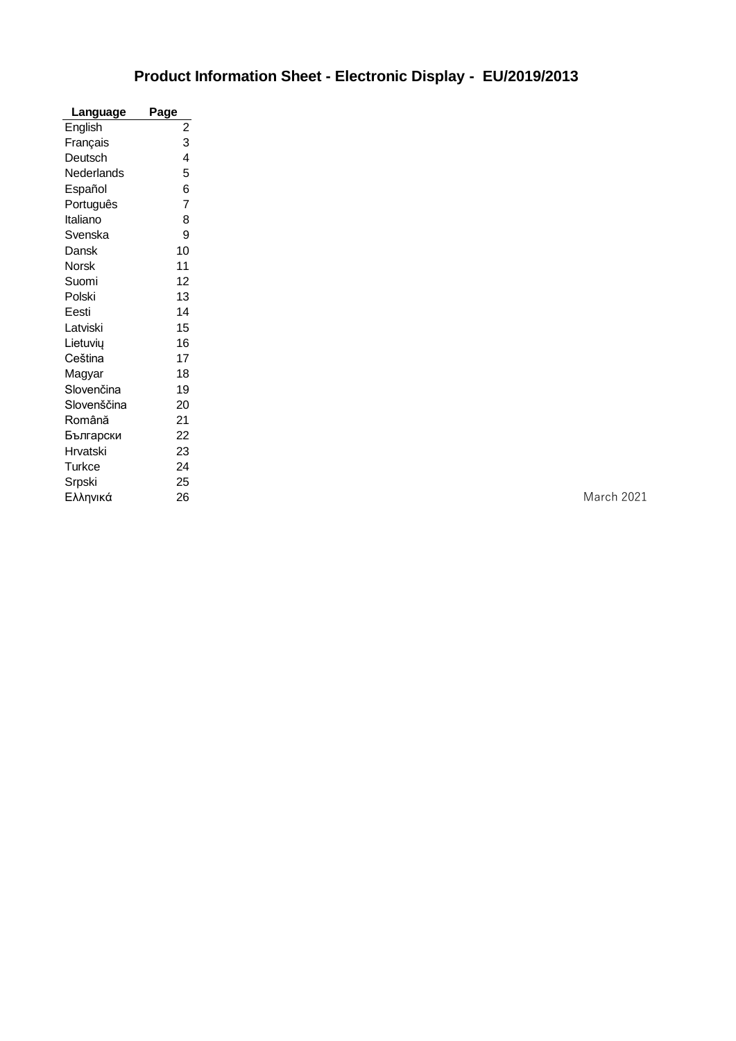## **Product Information Sheet - Electronic Display - EU/2019/2013**

| Language     | Page                    |
|--------------|-------------------------|
| English      | $\overline{\mathbf{c}}$ |
| Français     | 3                       |
| Deutsch      | 4                       |
| Nederlands   | 5                       |
| Español      | 6                       |
| Português    | $\overline{7}$          |
| Italiano     | 8                       |
| Svenska      | 9                       |
| Dansk        | 10                      |
| <b>Norsk</b> | 11                      |
| Suomi        | 12                      |
| Polski       | 13                      |
| Eesti        | 14                      |
| Latviski     | 15                      |
| Lietuvių     | 16                      |
| Ceština      | 17                      |
| Magyar       | 18                      |
| Slovenčina   | 19                      |
| Slovenščina  | 20                      |
| Română       | 21                      |
| Български    | 22                      |
| Hrvatski     | 23                      |
| Turkce       | 24                      |
| Srpski       | 25                      |
| Ελληνικά     | 26                      |

**March 2021**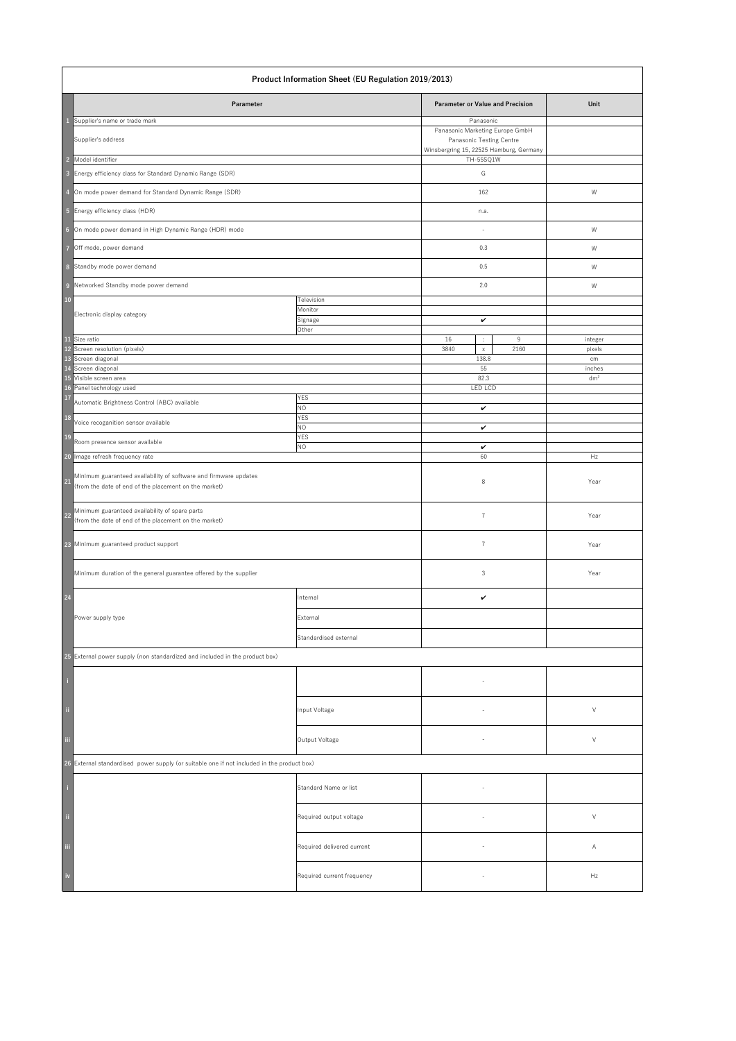|                            | <b>Product Information Sheet (EU Regulation 2019/2013)</b>                                                                |                            |                                                                                                                     |                 |  |  |
|----------------------------|---------------------------------------------------------------------------------------------------------------------------|----------------------------|---------------------------------------------------------------------------------------------------------------------|-----------------|--|--|
|                            | Parameter                                                                                                                 |                            | <b>Parameter or Value and Precision</b>                                                                             | Unit            |  |  |
|                            | Supplier's name or trade mark<br>Supplier's address                                                                       |                            | Panasonic<br>Panasonic Marketing Europe GmbH<br>Panasonic Testing Centre<br>Winsbergring 15, 22525 Hamburg, Germany |                 |  |  |
| $\overline{2}$             | Model identifier                                                                                                          |                            | TH-55SQ1W                                                                                                           |                 |  |  |
| $\overline{\mathbf{3}}$    | Energy efficiency class for Standard Dynamic Range (SDR)                                                                  |                            | G                                                                                                                   |                 |  |  |
| $\overline{4}$             | On mode power demand for Standard Dynamic Range (SDR)                                                                     |                            | 162                                                                                                                 | W               |  |  |
| $\overline{5}$             | Energy efficiency class (HDR)                                                                                             |                            | n.a.                                                                                                                |                 |  |  |
| $6\phantom{a}$             | On mode power demand in High Dynamic Range (HDR) mode                                                                     |                            |                                                                                                                     | W               |  |  |
| $\overline{7}$             | Off mode, power demand                                                                                                    |                            | 0.3                                                                                                                 | W               |  |  |
| 8                          | Standby mode power demand                                                                                                 |                            | 0.5                                                                                                                 | W               |  |  |
| $\overline{9}$             | Networked Standby mode power demand                                                                                       |                            | 2.0                                                                                                                 | W               |  |  |
| 10                         |                                                                                                                           | Television                 |                                                                                                                     |                 |  |  |
|                            | Electronic display category                                                                                               | Monitor                    |                                                                                                                     |                 |  |  |
|                            |                                                                                                                           | Signage<br>Other           | $\checkmark$                                                                                                        |                 |  |  |
|                            | 11 Size ratio<br>12 Screen resolution (pixels)                                                                            |                            | 16<br>9<br>$\mathcal{L}_{\mathcal{A}}$                                                                              | integer         |  |  |
|                            | 13 Screen diagonal                                                                                                        |                            | 2160<br>3840<br>$\mathsf{X}$<br>138.8                                                                               | pixels<br>cm    |  |  |
|                            | 14 Screen diagonal                                                                                                        |                            | 55                                                                                                                  | inches          |  |  |
|                            | 15 Visible screen area<br>16 Panel technology used                                                                        |                            | 82.3<br><b>LED LCD</b>                                                                                              | dm <sup>2</sup> |  |  |
| <b>17</b>                  | Automatic Brightness Control (ABC) available                                                                              | <b>YES</b>                 |                                                                                                                     |                 |  |  |
| <b>18</b>                  | Voice recoganition sensor available                                                                                       | <b>NO</b><br><b>YES</b>    | $\checkmark$                                                                                                        |                 |  |  |
| <b>19</b>                  | Room presence sensor available                                                                                            | <b>NO</b><br><b>YES</b>    | $\checkmark$                                                                                                        |                 |  |  |
|                            | 20 Image refresh frequency rate                                                                                           | <b>NO</b>                  | $\checkmark$<br>60                                                                                                  | Hz              |  |  |
| 21                         | Minimum guaranteed availability of software and firmware updates<br>(from the date of end of the placement on the market) |                            | 8                                                                                                                   | Year            |  |  |
| $\boxed{22}$               | Minimum guaranteed availability of spare parts<br>(from the date of end of the placement on the market)                   |                            | $\overline{7}$                                                                                                      | Year            |  |  |
|                            | 23 Minimum guaranteed product support                                                                                     |                            | $\overline{7}$                                                                                                      | Year            |  |  |
|                            | Minimum duration of the general guarantee offered by the supplier                                                         |                            | 3                                                                                                                   | Year            |  |  |
| $\boxed{24}$               |                                                                                                                           | Internal                   | $\checkmark$                                                                                                        |                 |  |  |
|                            | Power supply type                                                                                                         | External                   |                                                                                                                     |                 |  |  |
|                            |                                                                                                                           | Standardised external      |                                                                                                                     |                 |  |  |
|                            | 25 External power supply (non standardized and included in the product box)                                               |                            |                                                                                                                     |                 |  |  |
|                            |                                                                                                                           |                            |                                                                                                                     |                 |  |  |
| $\mathbf{ii}$              |                                                                                                                           | Input Voltage              |                                                                                                                     | $\vee$          |  |  |
| iii                        |                                                                                                                           | Output Voltage             |                                                                                                                     | $\vee$          |  |  |
|                            | 26 External standardised power supply (or suitable one if not included in the product box)                                |                            |                                                                                                                     |                 |  |  |
| $\mathbf{I}$               |                                                                                                                           | Standard Name or list      |                                                                                                                     |                 |  |  |
| $\ddot{\phantom{a}}$       |                                                                                                                           | Required output voltage    |                                                                                                                     | $\vee$          |  |  |
| iii                        |                                                                                                                           | Required delivered current |                                                                                                                     | A               |  |  |
| $\overline{\mathsf{i}}$ iv |                                                                                                                           | Required current frequency | $\overline{\phantom{a}}$                                                                                            | Hz              |  |  |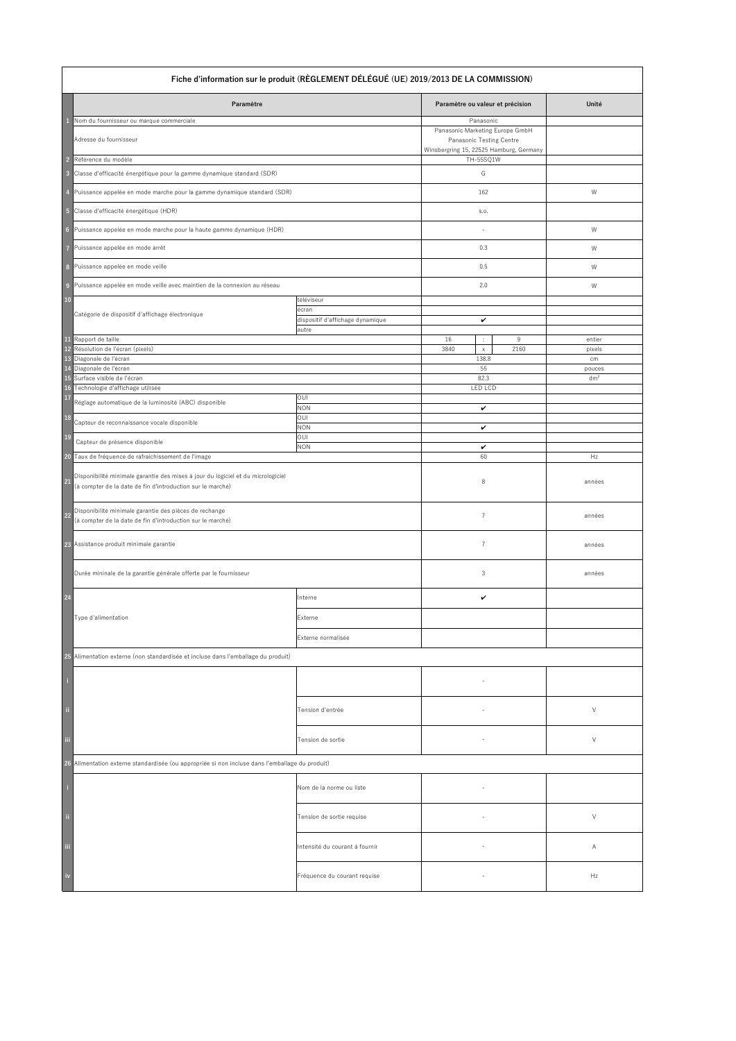|                         | Fiche d'information sur le produit (RÈGLEMENT DÉLÉGUÉ (UE) 2019/2013 DE LA COMMISSION)                                                         |                                                         |                                                                                                                                  |                           |  |  |
|-------------------------|------------------------------------------------------------------------------------------------------------------------------------------------|---------------------------------------------------------|----------------------------------------------------------------------------------------------------------------------------------|---------------------------|--|--|
|                         | Paramètre                                                                                                                                      |                                                         | Paramètre ou valeur et précision                                                                                                 | Unité                     |  |  |
| $\overline{2}$          | Nom du fournisseur ou marque commerciale<br>Adresse du fournisseur<br>Référence du modèle                                                      |                                                         | Panasonic<br>Panasonic Marketing Europe GmbH<br>Panasonic Testing Centre<br>Winsbergring 15, 22525 Hamburg, Germany<br>TH-55SQ1W |                           |  |  |
| $\overline{\mathbf{3}}$ | Classe d'efficacité énergétique pour la gamme dynamique standard (SDR)                                                                         |                                                         | G                                                                                                                                |                           |  |  |
| $\overline{4}$          | Puissance appelée en mode marche pour la gamme dynamique standard (SDR)                                                                        |                                                         | 162                                                                                                                              | W                         |  |  |
| 5                       | Classe d'efficacité énergétique (HDR)                                                                                                          |                                                         | S.O.                                                                                                                             |                           |  |  |
| $6\phantom{1}6$         | Puissance appelée en mode marche pour la haute gamme dynamique (HDR)                                                                           |                                                         |                                                                                                                                  | W                         |  |  |
| $\overline{7}$          | Puissance appelée en mode arrêt                                                                                                                |                                                         | 0.3                                                                                                                              | W                         |  |  |
| 8                       | Puissance appelée en mode veille                                                                                                               |                                                         | 0.5                                                                                                                              | W                         |  |  |
| $\overline{9}$          | Puissance appelée en mode veille avec maintien de la connexion au réseau                                                                       |                                                         | 2.0                                                                                                                              | W                         |  |  |
| <b>10</b>               | Catégorie de dispositif d'affichage électronique                                                                                               | téléviseur<br>écran<br>dispositif d'affichage dynamique | $\checkmark$                                                                                                                     |                           |  |  |
|                         | 11 Rapport de taille                                                                                                                           | autre                                                   | 16<br>9<br>$\mathcal{I}_\mathrm{c}$                                                                                              | entier                    |  |  |
|                         | 12 Résolution de l'écran (pixels)<br>13 Diagonale de l'écran                                                                                   |                                                         | 3840<br>2160<br>$\mathsf{X}$<br>138.8                                                                                            | pixels<br>cm              |  |  |
|                         | 14 Diagonale de l'écran<br>15 Surface visible de l'écran                                                                                       |                                                         | 55<br>82.3                                                                                                                       | pouces<br>dm <sup>2</sup> |  |  |
|                         | 16 Technologie d'affichage utilisée                                                                                                            |                                                         | <b>LED LCD</b>                                                                                                                   |                           |  |  |
| 17                      | Réglage automatique de la luminosité (ABC) disponible                                                                                          | <b>OUI</b><br><b>NON</b>                                | $\checkmark$                                                                                                                     |                           |  |  |
| <b>18</b>               | Capteur de reconnaissance vocale disponible                                                                                                    | <b>OUI</b><br><b>NON</b>                                | $\checkmark$                                                                                                                     |                           |  |  |
| <b>19</b>               | Capteur de présence disponible                                                                                                                 | <b>OUI</b><br><b>NON</b>                                | $\checkmark$                                                                                                                     |                           |  |  |
| 20                      | Taux de fréquence de rafraîchissement de l'image                                                                                               |                                                         | 60                                                                                                                               | Hz                        |  |  |
| $\overline{21}$         | Disponibilité minimale garantie des mises à jour du logiciel et du micrologiciel<br>(à compter de la date de fin d'introduction sur le marché) |                                                         | 8                                                                                                                                | années                    |  |  |
| $22$                    | Disponibilité minimale garantie des pièces de rechange<br>(à compter de la date de fin d'introduction sur le marché)                           |                                                         | $\overline{7}$                                                                                                                   | années                    |  |  |
|                         | 23 Assistance produit minimale garantie                                                                                                        |                                                         | 7                                                                                                                                | années                    |  |  |
|                         | Durée mininale de la garantie générale offerte par le fournisseur                                                                              |                                                         | 3                                                                                                                                | années                    |  |  |
| 24                      |                                                                                                                                                | Interne                                                 | $\checkmark$                                                                                                                     |                           |  |  |
|                         | Type d'alimentation                                                                                                                            | Externe                                                 |                                                                                                                                  |                           |  |  |
|                         |                                                                                                                                                | Externe normalisée                                      |                                                                                                                                  |                           |  |  |
|                         | 25 Alimentation externe (non standardisée et incluse dans l'emballage du produit)                                                              |                                                         |                                                                                                                                  |                           |  |  |
| ÷,                      |                                                                                                                                                |                                                         |                                                                                                                                  |                           |  |  |
| $\frac{1}{11}$          |                                                                                                                                                | Tension d'entrée                                        |                                                                                                                                  | $\sqrt{ }$                |  |  |
| .<br>M                  |                                                                                                                                                | Tension de sortie                                       |                                                                                                                                  | $\vee$                    |  |  |
|                         | 26 Alimentation externe standardisée (ou appropriée si non incluse dans l'emballage du produit)                                                |                                                         |                                                                                                                                  |                           |  |  |
| J                       |                                                                                                                                                | Nom de la norme ou liste                                |                                                                                                                                  |                           |  |  |
| $\ddot{a}$              |                                                                                                                                                | Tension de sortie requise                               |                                                                                                                                  | $\vee$                    |  |  |
| <br>  iii               |                                                                                                                                                | Intensité du courant à fournir                          |                                                                                                                                  | A                         |  |  |
| $\frac{1}{2}$           |                                                                                                                                                | Fréquence du courant requise                            |                                                                                                                                  | Hz                        |  |  |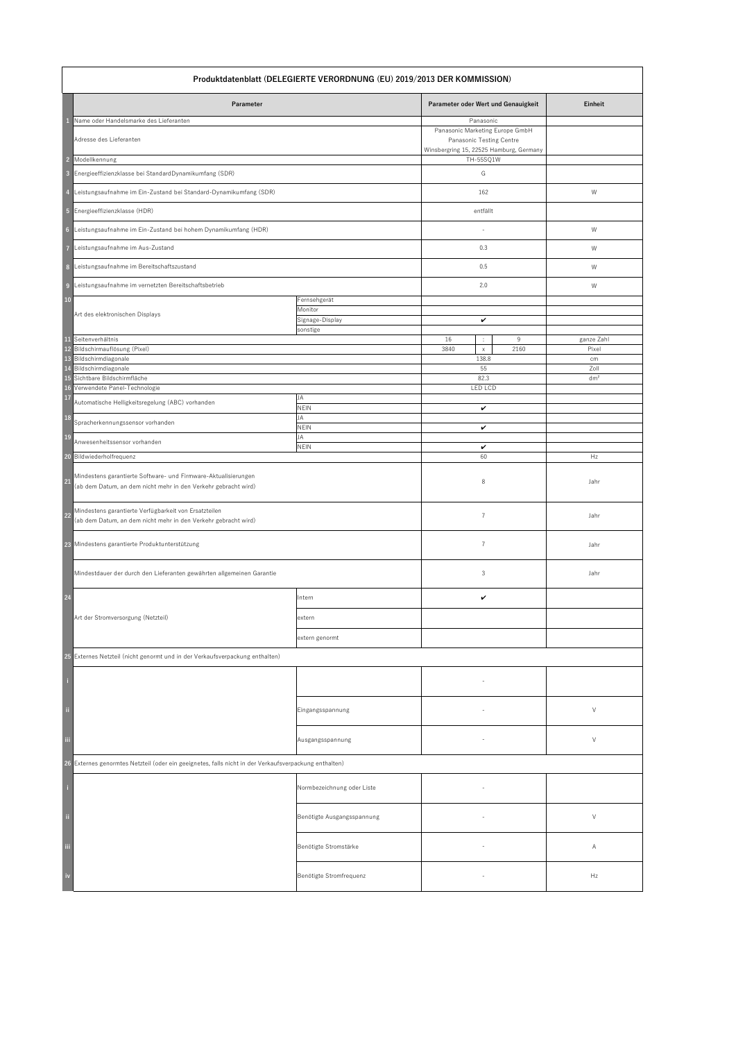|                                           | Produktdatenblatt (DELEGIERTE VERORDNUNG (EU) 2019/2013 DER KOMMISSION)                                                                      |                                                        |                                                                                                                                       |                                   |  |  |
|-------------------------------------------|----------------------------------------------------------------------------------------------------------------------------------------------|--------------------------------------------------------|---------------------------------------------------------------------------------------------------------------------------------------|-----------------------------------|--|--|
|                                           | Parameter                                                                                                                                    |                                                        | Parameter oder Wert und Genauigkeit                                                                                                   | Einheit                           |  |  |
| $\overline{2}$<br>$\overline{\mathbf{3}}$ | Name oder Handelsmarke des Lieferanten<br>Adresse des Lieferanten<br>Modellkennung<br>Energieeffizienzklasse bei StandardDynamikumfang (SDR) |                                                        | Panasonic<br>Panasonic Marketing Europe GmbH<br>Panasonic Testing Centre<br>Winsbergring 15, 22525 Hamburg, Germany<br>TH-55SQ1W<br>G |                                   |  |  |
| $\overline{4}$                            | Leistungsaufnahme im Ein-Zustand bei Standard-Dynamikumfang (SDR)                                                                            |                                                        | 162                                                                                                                                   | W                                 |  |  |
|                                           | 5 Energieeffizienzklasse (HDR)                                                                                                               |                                                        | entfällt                                                                                                                              |                                   |  |  |
| $6\phantom{1}6$                           | Leistungsaufnahme im Ein-Zustand bei hohem Dynamikumfang (HDR)                                                                               |                                                        |                                                                                                                                       | W                                 |  |  |
| $\overline{7}$                            | Leistungsaufnahme im Aus-Zustand                                                                                                             |                                                        | 0.3                                                                                                                                   | W                                 |  |  |
| 8                                         | Leistungsaufnahme im Bereitschaftszustand                                                                                                    |                                                        | 0.5                                                                                                                                   | W                                 |  |  |
| $\overline{9}$                            | Leistungsaufnahme im vernetzten Bereitschaftsbetrieb                                                                                         |                                                        | 2.0                                                                                                                                   | W                                 |  |  |
| <b>10</b>                                 | Art des elektronischen Displays                                                                                                              | Fernsehgerät<br>Monitor<br>Signage-Display<br>sonstige | $\checkmark$                                                                                                                          |                                   |  |  |
| <b>11</b><br><b>14</b>                    | Seitenverhältnis<br>12 Bildschirmauflösung (Pixel)<br>13 Bildschirmdiagonale<br>Bildschirmdiagonale                                          |                                                        | 16<br>9<br>÷.<br>3840<br>2160<br>$\mathsf{X}^-$<br>138.8<br>55                                                                        | ganze Zahl<br>Pixel<br>cm<br>Zoll |  |  |
|                                           | 15 Sichtbare Bildschirmfläche                                                                                                                |                                                        | 82.3                                                                                                                                  | dm <sup>2</sup>                   |  |  |
| 17                                        | 16 Verwendete Panel-Technologie<br>Automatische Helligkeitsregelung (ABC) vorhanden                                                          | <b>JA</b>                                              | <b>LED LCD</b>                                                                                                                        |                                   |  |  |
| 18                                        | Spracherkennungssensor vorhanden                                                                                                             | <b>NEIN</b><br>JA<br><b>NEIN</b>                       | $\checkmark$<br>$\checkmark$                                                                                                          |                                   |  |  |
| <b>19</b>                                 | Anwesenheitssensor vorhanden                                                                                                                 | JA<br><b>NEIN</b>                                      | $\checkmark$                                                                                                                          |                                   |  |  |
| 20                                        | Bildwiederholfrequenz                                                                                                                        |                                                        | 60                                                                                                                                    | Hz                                |  |  |
| 21                                        | Mindestens garantierte Software- und Firmware-Aktualisierungen<br>(ab dem Datum, an dem nicht mehr in den Verkehr gebracht wird)             |                                                        | 8                                                                                                                                     | Jahr                              |  |  |
| <b>22</b>                                 | Mindestens garantierte Verfügbarkeit von Ersatzteilen<br>(ab dem Datum, an dem nicht mehr in den Verkehr gebracht wird)                      |                                                        | $\overline{7}$                                                                                                                        | Jahr                              |  |  |
|                                           | 23 Mindestens garantierte Produktunterstützung                                                                                               |                                                        | 7                                                                                                                                     | Jahr                              |  |  |
|                                           | Mindestdauer der durch den Lieferanten gewährten allgemeinen Garantie                                                                        |                                                        | 3                                                                                                                                     | Jahr                              |  |  |
| 24                                        |                                                                                                                                              | Intern                                                 | $\checkmark$                                                                                                                          |                                   |  |  |
|                                           | Art der Stromversorgung (Netzteil)                                                                                                           | extern                                                 |                                                                                                                                       |                                   |  |  |
|                                           |                                                                                                                                              | extern genormt                                         |                                                                                                                                       |                                   |  |  |
|                                           | 25 Externes Netzteil (nicht genormt und in der Verkaufsverpackung enthalten)                                                                 |                                                        |                                                                                                                                       |                                   |  |  |
| -i                                        |                                                                                                                                              |                                                        |                                                                                                                                       |                                   |  |  |
| ji                                        |                                                                                                                                              | Eingangsspannung                                       |                                                                                                                                       | $\sqrt{ }$                        |  |  |
| iii                                       |                                                                                                                                              | Ausgangsspannung                                       |                                                                                                                                       | $\vee$                            |  |  |
|                                           | 26 Externes genormtes Netzteil (oder ein geeignetes, falls nicht in der Verkaufsverpackung enthalten)                                        |                                                        |                                                                                                                                       |                                   |  |  |
| -i                                        |                                                                                                                                              | Normbezeichnung oder Liste                             | $\overline{\phantom{a}}$                                                                                                              |                                   |  |  |
| ji.                                       |                                                                                                                                              | Benötigte Ausgangsspannung                             |                                                                                                                                       | $\vee$                            |  |  |
| iii                                       |                                                                                                                                              | Benötigte Stromstärke                                  |                                                                                                                                       | A                                 |  |  |
| iv                                        |                                                                                                                                              | Benötigte Stromfrequenz                                |                                                                                                                                       | Hz                                |  |  |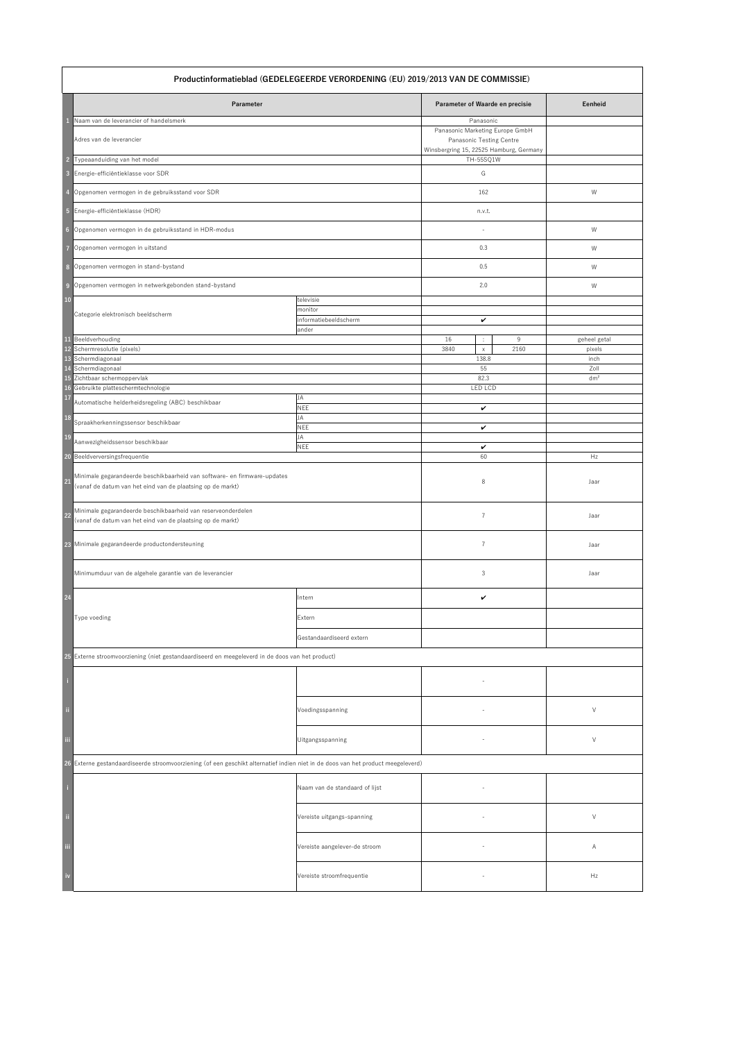|                                           | Productinformatieblad (GEDELEGEERDE VERORDENING (EU) 2019/2013 VAN DE COMMISSIE)                                                         |                                                        |                                                                                                                                       |                                        |  |  |
|-------------------------------------------|------------------------------------------------------------------------------------------------------------------------------------------|--------------------------------------------------------|---------------------------------------------------------------------------------------------------------------------------------------|----------------------------------------|--|--|
|                                           | Parameter                                                                                                                                |                                                        | Parameter of Waarde en precisie                                                                                                       | Eenheid                                |  |  |
| $\overline{2}$<br>$\overline{\mathbf{3}}$ | Naam van de leverancier of handelsmerk<br>Adres van de leverancier<br>Typeaanduiding van het model<br>Energie-efficiëntieklasse voor SDR |                                                        | Panasonic<br>Panasonic Marketing Europe GmbH<br>Panasonic Testing Centre<br>Winsbergring 15, 22525 Hamburg, Germany<br>TH-55SQ1W<br>G |                                        |  |  |
| $\overline{4}$                            | Opgenomen vermogen in de gebruiksstand voor SDR                                                                                          |                                                        | 162                                                                                                                                   | W                                      |  |  |
|                                           | 5 Energie-efficiëntieklasse (HDR)                                                                                                        |                                                        | n.v.t.                                                                                                                                |                                        |  |  |
|                                           | 6 Opgenomen vermogen in de gebruiksstand in HDR-modus                                                                                    |                                                        |                                                                                                                                       | W                                      |  |  |
| $\overline{7}$                            | Opgenomen vermogen in uitstand                                                                                                           |                                                        | 0.3                                                                                                                                   | W                                      |  |  |
|                                           | 8 Opgenomen vermogen in stand-bystand                                                                                                    |                                                        | 0.5                                                                                                                                   | W                                      |  |  |
| $\overline{9}$                            | Opgenomen vermogen in netwerkgebonden stand-bystand                                                                                      |                                                        | 2.0                                                                                                                                   | W                                      |  |  |
| <b>10</b>                                 | Categorie elektronisch beeldscherm                                                                                                       | televisie<br>monitor<br>informatiebeeldscherm<br>ander | $\checkmark$                                                                                                                          |                                        |  |  |
| <b>11</b><br><b>14</b>                    | Beeldverhouding<br>12 Schermresolutie (pixels)<br>13 Schermdiagonaal<br>Schermdiagonaal                                                  |                                                        | 16<br>9<br>÷.<br>3840<br>2160<br>$\mathsf{X}^-$<br>138.8<br>55                                                                        | geheel getal<br>pixels<br>inch<br>Zoll |  |  |
|                                           | 15 Zichtbaar schermoppervlak<br>16 Gebruikte platteschermtechnologie                                                                     |                                                        | 82.3<br><b>LED LCD</b>                                                                                                                | dm <sup>2</sup>                        |  |  |
| 17                                        | Automatische helderheidsregeling (ABC) beschikbaar                                                                                       | <b>JA</b><br><b>NEE</b>                                | $\checkmark$                                                                                                                          |                                        |  |  |
| 18                                        | Spraakherkenningssensor beschikbaar                                                                                                      | JA<br><b>NEE</b>                                       | $\checkmark$                                                                                                                          |                                        |  |  |
| <b>19</b>                                 | Aanwezigheidssensor beschikbaar                                                                                                          | JA<br><b>NEE</b>                                       | $\checkmark$                                                                                                                          |                                        |  |  |
| 20                                        | Beeldverversingsfrequentie                                                                                                               |                                                        | 60                                                                                                                                    | Hz                                     |  |  |
| 21                                        | Minimale gegarandeerde beschikbaarheid van software- en firmware-updates<br>(vanaf de datum van het eind van de plaatsing op de markt)   |                                                        | 8                                                                                                                                     | Jaar                                   |  |  |
| <b>22</b>                                 | Minimale gegarandeerde beschikbaarheid van reserveonderdelen<br>(vanaf de datum van het eind van de plaatsing op de markt)               |                                                        | $\overline{7}$                                                                                                                        | Jaar                                   |  |  |
|                                           | 23 Minimale gegarandeerde productondersteuning                                                                                           |                                                        | 7                                                                                                                                     | Jaar                                   |  |  |
|                                           | Minimumduur van de algehele garantie van de leverancier                                                                                  |                                                        | 3                                                                                                                                     | Jaar                                   |  |  |
| 24                                        |                                                                                                                                          | Intern                                                 | $\checkmark$                                                                                                                          |                                        |  |  |
|                                           | Type voeding                                                                                                                             | Extern                                                 |                                                                                                                                       |                                        |  |  |
|                                           |                                                                                                                                          | Gestandaardiseerd extern                               |                                                                                                                                       |                                        |  |  |
|                                           | 25 Externe stroomvoorziening (niet gestandaardiseerd en meegeleverd in de doos van het product)                                          |                                                        |                                                                                                                                       |                                        |  |  |
| -i                                        |                                                                                                                                          |                                                        |                                                                                                                                       |                                        |  |  |
| li i                                      |                                                                                                                                          | Voedingsspanning                                       |                                                                                                                                       | $\vee$                                 |  |  |
| iii                                       |                                                                                                                                          | Uitgangsspanning                                       |                                                                                                                                       | $\vee$                                 |  |  |
|                                           | 26 Externe gestandaardiseerde stroomvoorziening (of een geschikt alternatief indien niet in de doos van het product meegeleverd)         |                                                        |                                                                                                                                       |                                        |  |  |
| l ij                                      |                                                                                                                                          | Naam van de standaard of lijst                         | $\overline{\phantom{a}}$                                                                                                              |                                        |  |  |
| $\ddot{\rm n}$                            |                                                                                                                                          | Vereiste uitgangs-spanning                             |                                                                                                                                       | $\vee$                                 |  |  |
| iii                                       |                                                                                                                                          | Vereiste aangelever-de stroom                          |                                                                                                                                       | A                                      |  |  |
| iv                                        |                                                                                                                                          | Vereiste stroomfrequentie                              |                                                                                                                                       | Hz                                     |  |  |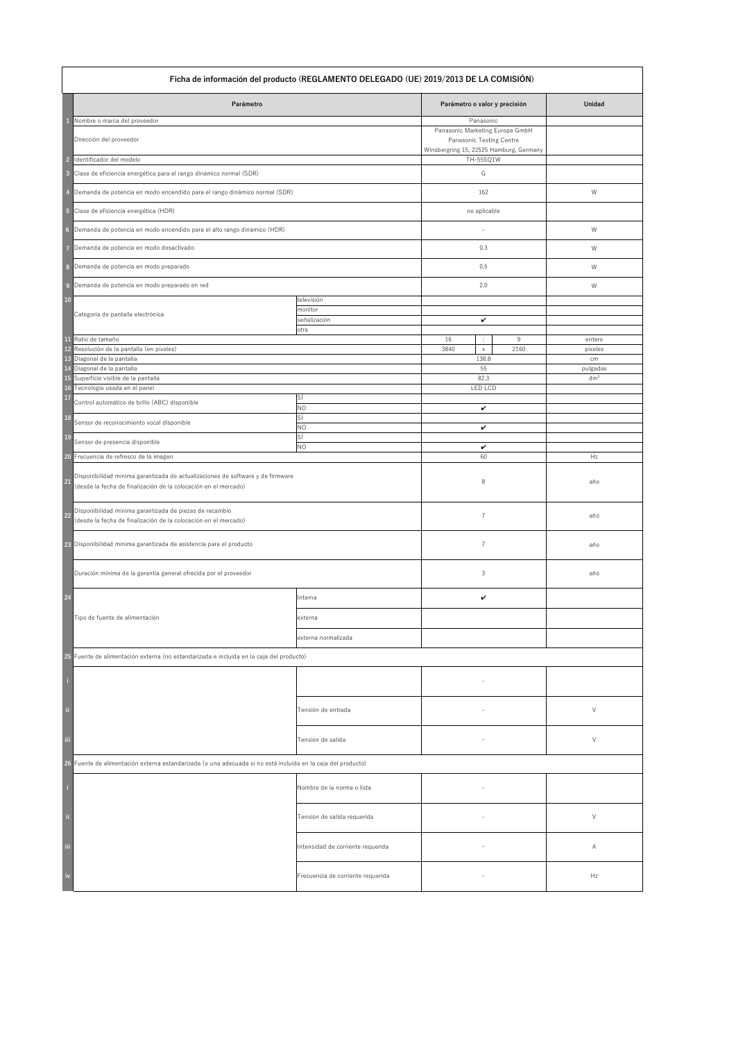|                                  | Ficha de información del producto (REGLAMENTO DELEGADO (UE) 2019/2013 DE LA COMISIÓN)                                                                     |                                               |                                                                                                                                              |           |                   |
|----------------------------------|-----------------------------------------------------------------------------------------------------------------------------------------------------------|-----------------------------------------------|----------------------------------------------------------------------------------------------------------------------------------------------|-----------|-------------------|
|                                  | Parámetro                                                                                                                                                 |                                               | Parámetro o valor y precisión                                                                                                                |           | <b>Unidad</b>     |
| $\overline{2}$<br>$\overline{3}$ | Nombre o marca del proveedor<br>Dirección del proveedor<br>Identificador del modelo<br>Clase de eficiencia energética para el rango dinámico normal (SDR) |                                               | Panasonic<br>Panasonic Marketing Europe GmbH<br><b>Panasonic Testing Centre</b><br>Winsbergring 15, 22525 Hamburg, Germany<br>TH-55SQ1W<br>G |           |                   |
|                                  | Demanda de potencia en modo encendido para el rango dinámico normal (SDR)                                                                                 |                                               | 162                                                                                                                                          |           | W                 |
| 5                                | Clase de eficiencia energética (HDR)                                                                                                                      |                                               | no aplicable                                                                                                                                 |           |                   |
| $6\phantom{1}6$                  | Demanda de potencia en modo encendido para el alto rango dinámico (HDR)                                                                                   |                                               |                                                                                                                                              |           | W                 |
|                                  | Demanda de potencia en modo desactivado                                                                                                                   |                                               | 0.3                                                                                                                                          |           | W                 |
| 8                                | Demanda de potencia en modo preparado                                                                                                                     |                                               | 0.5                                                                                                                                          |           | W                 |
| $\overline{9}$                   | Demanda de potencia en modo preparado en red                                                                                                              |                                               | 2.0                                                                                                                                          |           | W                 |
| <b>10</b>                        | Categoría de pantalla electrónica                                                                                                                         | televisión<br>monitor<br>señalización<br>otra | $\checkmark$                                                                                                                                 |           |                   |
| <b>11</b>                        | Ratio de tamaño<br>12 Resolución de la pantalla (en píxeles)                                                                                              |                                               | 16<br>$\mathbb{C}^{\times}$<br>3840<br>$\mathsf X$                                                                                           | 9<br>2160 | entero<br>píxeles |
| 14                               | 13 Diagonal de la pantalla<br>Diagonal de la pantalla                                                                                                     |                                               | 138.8<br>55                                                                                                                                  |           | cm<br>pulgadas    |
|                                  | 15 Superficie visible de la pantalla                                                                                                                      |                                               | 82.3                                                                                                                                         |           | dm <sup>2</sup>   |
| 17                               | 16 Tecnología usada en el panel<br>Control automático de brillo (ABC) disponible                                                                          | SÍ                                            | <b>LED LCD</b>                                                                                                                               |           |                   |
| <b>18</b>                        | Sensor de reconocimiento vocal disponible                                                                                                                 | <b>NO</b><br>SÍ                               | $\checkmark$                                                                                                                                 |           |                   |
| <b>19</b>                        |                                                                                                                                                           | <b>NO</b><br>Sİ                               | $\checkmark$                                                                                                                                 |           |                   |
|                                  | Sensor de presencia disponible<br>20 Frecuencia de refresco de la imagen                                                                                  | $NO$                                          | $\checkmark$<br>60                                                                                                                           |           | Hz                |
|                                  |                                                                                                                                                           |                                               |                                                                                                                                              |           |                   |
| $\overline{21}$                  | Disponibilidad mínima garantizada de actualizaciones de software y de firmware<br>(desde la fecha de finalización de la colocación en el mercado)         |                                               | 8                                                                                                                                            |           | año               |
| $22$                             | Disponibilidad mínima garantizada de piezas de recambio<br>(desde la fecha de finalización de la colocación en el mercado)                                |                                               | $\overline{7}$                                                                                                                               |           | año               |
|                                  | 23 Disponibilidad mínima garantizada de asistencia para el producto                                                                                       |                                               | 7                                                                                                                                            |           | año               |
|                                  | Duración mínima de la garantía general ofrecida por el proveedor                                                                                          |                                               | 3                                                                                                                                            |           | año               |
| $\boxed{24}$                     |                                                                                                                                                           | Interna                                       | $\checkmark$                                                                                                                                 |           |                   |
|                                  | Tipo de fuente de alimentación                                                                                                                            | externa                                       |                                                                                                                                              |           |                   |
|                                  |                                                                                                                                                           | externa normalizada                           |                                                                                                                                              |           |                   |
|                                  | 25 Fuente de alimentación externa (no estandarizada e incluida en la caja del producto)                                                                   |                                               |                                                                                                                                              |           |                   |
| -i                               |                                                                                                                                                           |                                               |                                                                                                                                              |           |                   |
| $\ddot{a}$                       |                                                                                                                                                           | Tensión de entrada                            | $\overline{\phantom{0}}$                                                                                                                     |           | V                 |
| iii                              |                                                                                                                                                           | Tensión de salida                             |                                                                                                                                              |           | $\vee$            |
|                                  | 26 Fuente de alimentación externa estandarizada (o una adecuada si no está incluida en la caja del producto)                                              |                                               |                                                                                                                                              |           |                   |
| $\mathbf{i}$                     |                                                                                                                                                           | Nombre de la norma o lista                    |                                                                                                                                              |           |                   |
| $\ddot{\phantom{a}}$             |                                                                                                                                                           | Tensión de salida requerida                   |                                                                                                                                              |           | V                 |
| <br> -<br>  111                  |                                                                                                                                                           | Intensidad de corriente requerida             |                                                                                                                                              |           | A                 |
| $\frac{1}{2}$                    |                                                                                                                                                           | Frecuencia de corriente requerida             |                                                                                                                                              |           | Hz                |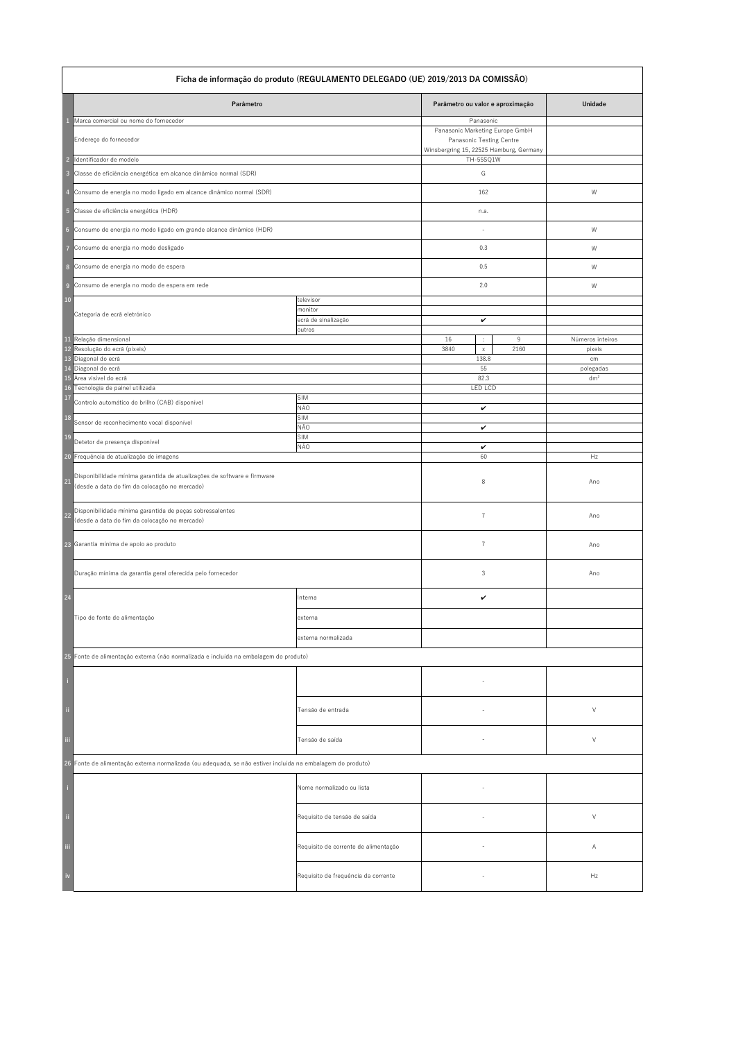| Ficha de informação do produto (REGULAMENTO DELEGADO (UE) 2019/2013 DA COMISSÃO) |                                                                                                                          |                                          |                                                                                                        |      |                  |
|----------------------------------------------------------------------------------|--------------------------------------------------------------------------------------------------------------------------|------------------------------------------|--------------------------------------------------------------------------------------------------------|------|------------------|
|                                                                                  | Parâmetro                                                                                                                |                                          | Parâmetro ou valor e aproximação                                                                       |      | Unidade          |
|                                                                                  | Marca comercial ou nome do fornecedor                                                                                    |                                          | Panasonic                                                                                              |      |                  |
|                                                                                  | Endereço do fornecedor                                                                                                   |                                          | Panasonic Marketing Europe GmbH<br>Panasonic Testing Centre<br>Winsbergring 15, 22525 Hamburg, Germany |      |                  |
| $\overline{2}$                                                                   | Identificador de modelo                                                                                                  |                                          | TH-55SQ1W                                                                                              |      |                  |
| $\overline{\mathbf{3}}$                                                          | Classe de eficiência energética em alcance dinâmico normal (SDR)                                                         |                                          | G                                                                                                      |      |                  |
| $\overline{4}$                                                                   | Consumo de energia no modo ligado em alcance dinâmico normal (SDR)                                                       |                                          | 162                                                                                                    |      | W                |
|                                                                                  | 5 Classe de eficiência energética (HDR)                                                                                  |                                          | n.a.                                                                                                   |      |                  |
| $6\overline{6}$                                                                  | Consumo de energia no modo ligado em grande alcance dinâmico (HDR)                                                       |                                          |                                                                                                        |      | W                |
|                                                                                  | Consumo de energia no modo desligado                                                                                     |                                          | 0.3                                                                                                    |      | W                |
|                                                                                  | 8 Consumo de energia no modo de espera                                                                                   |                                          | 0.5                                                                                                    |      | W                |
| 9                                                                                | Consumo de energia no modo de espera em rede                                                                             |                                          | 2.0                                                                                                    |      | W                |
| <b>10</b>                                                                        |                                                                                                                          | televisor                                |                                                                                                        |      |                  |
|                                                                                  | Categoria de ecrã eletrónico                                                                                             | monitor<br>ecrã de sinalização<br>outros | $\checkmark$                                                                                           |      |                  |
| <b>11</b>                                                                        | Relação dimensional                                                                                                      |                                          | 16<br>$\sim$<br>$\bullet$                                                                              | 9    | Números inteiros |
|                                                                                  | 12 Resolução do ecrã (píxeis)                                                                                            |                                          | 3840<br>$\mathsf X^-$                                                                                  | 2160 | píxeis           |
| 13<br>14                                                                         | Diagonal do ecrã<br>Diagonal do ecrã                                                                                     |                                          | 138.8<br>55                                                                                            |      | cm<br>polegadas  |
|                                                                                  | 15 Área visível do ecrã                                                                                                  |                                          | 82.3                                                                                                   |      | dm <sup>2</sup>  |
| <b>16</b>                                                                        | Tecnologia de painel utilizada                                                                                           |                                          | <b>LED LCD</b>                                                                                         |      |                  |
| 17                                                                               | Controlo automático do brilho (CAB) disponível                                                                           | SIM<br>NÃO                               | $\checkmark$                                                                                           |      |                  |
| <b>18</b>                                                                        | Sensor de reconhecimento vocal disponível                                                                                | SIM<br>NÃO                               |                                                                                                        |      |                  |
| 19                                                                               | Detetor de presença disponível                                                                                           | SIM                                      | $\checkmark$                                                                                           |      |                  |
| 20                                                                               | Frequência de atualização de imagens                                                                                     | NÃO                                      | $\checkmark$<br>60                                                                                     |      | Hz               |
| 21                                                                               | Disponibilidade mínima garantida de atualizações de software e firmware<br>(desde a data do fim da colocação no mercado) |                                          | 8                                                                                                      |      | Ano              |
| 22                                                                               | Disponibilidade mínima garantida de peças sobressalentes<br>(desde a data do fim da colocação no mercado)                |                                          | $\overline{7}$                                                                                         |      | Ano              |
|                                                                                  | 23 Garantia mínima de apoio ao produto                                                                                   |                                          | 7                                                                                                      |      | Ano              |
|                                                                                  | Duração mínima da garantia geral oferecida pelo fornecedor                                                               |                                          | 3                                                                                                      |      | Ano              |
| 24                                                                               |                                                                                                                          | Interna                                  | $\checkmark$                                                                                           |      |                  |
|                                                                                  | Tipo de fonte de alimentação                                                                                             | externa                                  |                                                                                                        |      |                  |
|                                                                                  |                                                                                                                          | externa normalizada                      |                                                                                                        |      |                  |
| 25                                                                               | Fonte de alimentação externa (não normalizada e incluída na embalagem do produto)                                        |                                          |                                                                                                        |      |                  |
| E                                                                                |                                                                                                                          |                                          |                                                                                                        |      |                  |
| j.                                                                               |                                                                                                                          | Tensão de entrada                        |                                                                                                        |      | $\vee$           |
| iii                                                                              |                                                                                                                          | Tensão de saída                          | $-$                                                                                                    |      | $\sqrt{ }$       |
|                                                                                  | 26 Fonte de alimentação externa normalizada (ou adequada, se não estiver incluída na embalagem do produto)               |                                          |                                                                                                        |      |                  |
| J                                                                                |                                                                                                                          | Nome normalizado ou lista                |                                                                                                        |      |                  |
| ji.                                                                              |                                                                                                                          | Requisito de tensão de saída             |                                                                                                        |      | $\vee$           |
| iii                                                                              |                                                                                                                          | Requisito de corrente de alimentação     |                                                                                                        |      | A                |
| iv                                                                               |                                                                                                                          | Requisito de frequência da corrente      |                                                                                                        |      | Hz               |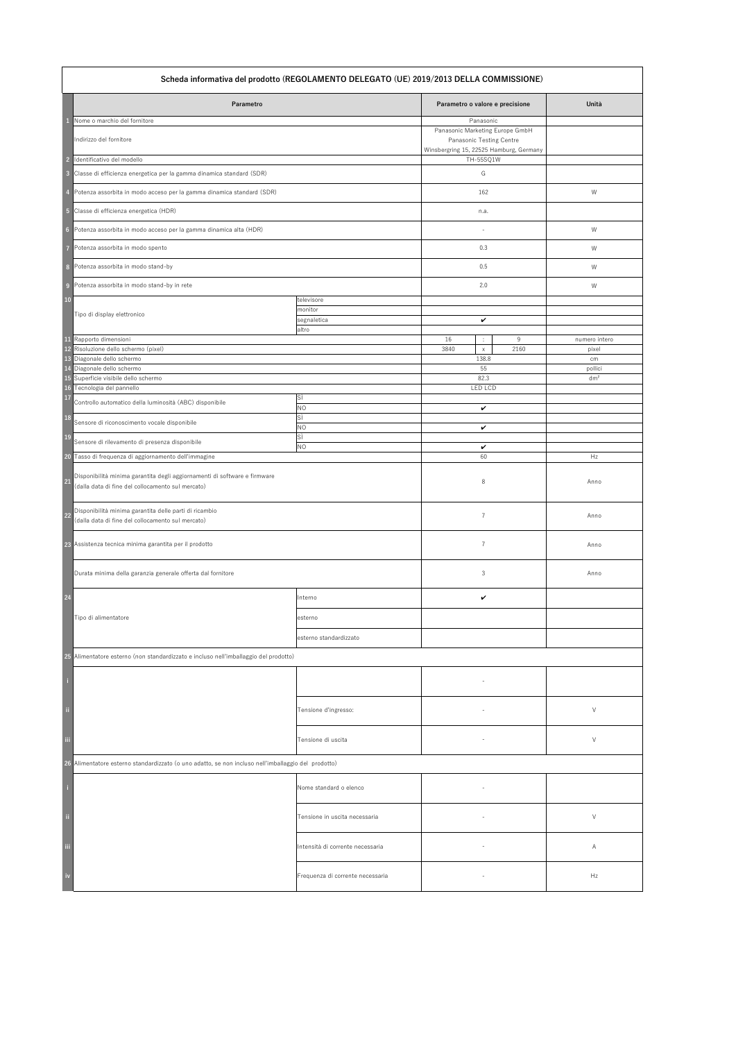| Scheda informativa del prodotto (REGOLAMENTO DELEGATO (UE) 2019/2013 DELLA COMMISSIONE)                                              |                                  |                                                                                                        |                            |  |  |
|--------------------------------------------------------------------------------------------------------------------------------------|----------------------------------|--------------------------------------------------------------------------------------------------------|----------------------------|--|--|
| Parametro                                                                                                                            |                                  | Parametro o valore e precisione                                                                        | Unità                      |  |  |
| Nome o marchio del fornitore                                                                                                         |                                  | Panasonic                                                                                              |                            |  |  |
| Indirizzo del fornitore                                                                                                              |                                  | Panasonic Marketing Europe GmbH<br>Panasonic Testing Centre<br>Winsbergring 15, 22525 Hamburg, Germany |                            |  |  |
| Identificativo del modello<br>$\overline{2}$                                                                                         |                                  | TH-55SQ1W                                                                                              |                            |  |  |
| Classe di efficienza energetica per la gamma dinamica standard (SDR)<br>$\overline{\mathbf{3}}$                                      |                                  | G                                                                                                      |                            |  |  |
| Potenza assorbita in modo acceso per la gamma dinamica standard (SDR)<br>-4                                                          |                                  | 162                                                                                                    | W                          |  |  |
| 5 Classe di efficienza energetica (HDR)                                                                                              |                                  | n.a.                                                                                                   |                            |  |  |
| Potenza assorbita in modo acceso per la gamma dinamica alta (HDR)<br>$6\phantom{1}6$                                                 |                                  |                                                                                                        | W                          |  |  |
| Potenza assorbita in modo spento                                                                                                     |                                  | 0.3                                                                                                    | W                          |  |  |
| Potenza assorbita in modo stand-by<br>8                                                                                              |                                  | 0.5                                                                                                    | W                          |  |  |
| Potenza assorbita in modo stand-by in rete<br>$\overline{9}$                                                                         |                                  | 2.0                                                                                                    | W                          |  |  |
| <b>10</b>                                                                                                                            | televisore                       |                                                                                                        |                            |  |  |
| Tipo di display elettronico                                                                                                          | monitor<br>segnaletica           | $\checkmark$                                                                                           |                            |  |  |
| 11 Rapporto dimensioni                                                                                                               | altro                            | 16<br>9                                                                                                | numero intero              |  |  |
| 12 Risoluzione dello schermo (pixel)                                                                                                 |                                  | ÷.<br>3840<br>2160<br>$\mathsf{X}$                                                                     | pixel                      |  |  |
| 13 Diagonale dello schermo                                                                                                           |                                  | 138.8                                                                                                  | cm                         |  |  |
| 14 Diagonale dello schermo<br>15 Superficie visibile dello schermo                                                                   |                                  | 55<br>82.3                                                                                             | pollici<br>dm <sup>2</sup> |  |  |
| 16 Tecnologia del pannello                                                                                                           |                                  | LED LCD                                                                                                |                            |  |  |
| 17<br>Controllo automatico della luminosità (ABC) disponibile                                                                        | SÌ<br><b>NO</b>                  | $\checkmark$                                                                                           |                            |  |  |
| <b>18</b><br>Sensore di riconoscimento vocale disponibile                                                                            | SÌ<br><b>NO</b>                  | $\checkmark$                                                                                           |                            |  |  |
| <b>19</b><br>Sensore di rilevamento di presenza disponibile                                                                          | SÌ<br><b>NO</b>                  |                                                                                                        |                            |  |  |
| Tasso di frequenza di aggiornamento dell'immagine<br>20                                                                              |                                  | $\checkmark$<br>60                                                                                     | Hz                         |  |  |
| Disponibilità minima garantita degli aggiornamenti di software e firmware<br>21<br>(dalla data di fine del collocamento sul mercato) |                                  | 8                                                                                                      | Anno                       |  |  |
| Disponibilità minima garantita delle parti di ricambio<br>22<br>(dalla data di fine del collocamento sul mercato)                    |                                  | $\overline{7}$                                                                                         | Anno                       |  |  |
| 23 Assistenza tecnica minima garantita per il prodotto                                                                               |                                  |                                                                                                        | Anno                       |  |  |
| Durata minima della garanzia generale offerta dal fornitore                                                                          |                                  | $\mathfrak{Z}$                                                                                         | Anno                       |  |  |
| 24                                                                                                                                   | Interno                          | V                                                                                                      |                            |  |  |
| Tipo di alimentatore                                                                                                                 | esterno                          |                                                                                                        |                            |  |  |
|                                                                                                                                      | esterno standardizzato           |                                                                                                        |                            |  |  |
| 25 Alimentatore esterno (non standardizzato e incluso nell'imballaggio del prodotto)                                                 |                                  |                                                                                                        |                            |  |  |
|                                                                                                                                      |                                  |                                                                                                        |                            |  |  |
| $\ddot{\rm n}$                                                                                                                       | Tensione d'ingresso:             |                                                                                                        | $\vee$                     |  |  |
| Ϊij                                                                                                                                  | Tensione di uscita               |                                                                                                        | $\vee$                     |  |  |
| 26 Alimentatore esterno standardizzato (o uno adatto, se non incluso nell'imballaggio del prodotto)                                  |                                  |                                                                                                        |                            |  |  |
|                                                                                                                                      | Nome standard o elenco           |                                                                                                        |                            |  |  |
| $\,$ ii                                                                                                                              | Tensione in uscita necessaria    |                                                                                                        |                            |  |  |
| iii                                                                                                                                  | Intensità di corrente necessaria |                                                                                                        | Α                          |  |  |
| iv                                                                                                                                   | Frequenza di corrente necessaria |                                                                                                        | Hz                         |  |  |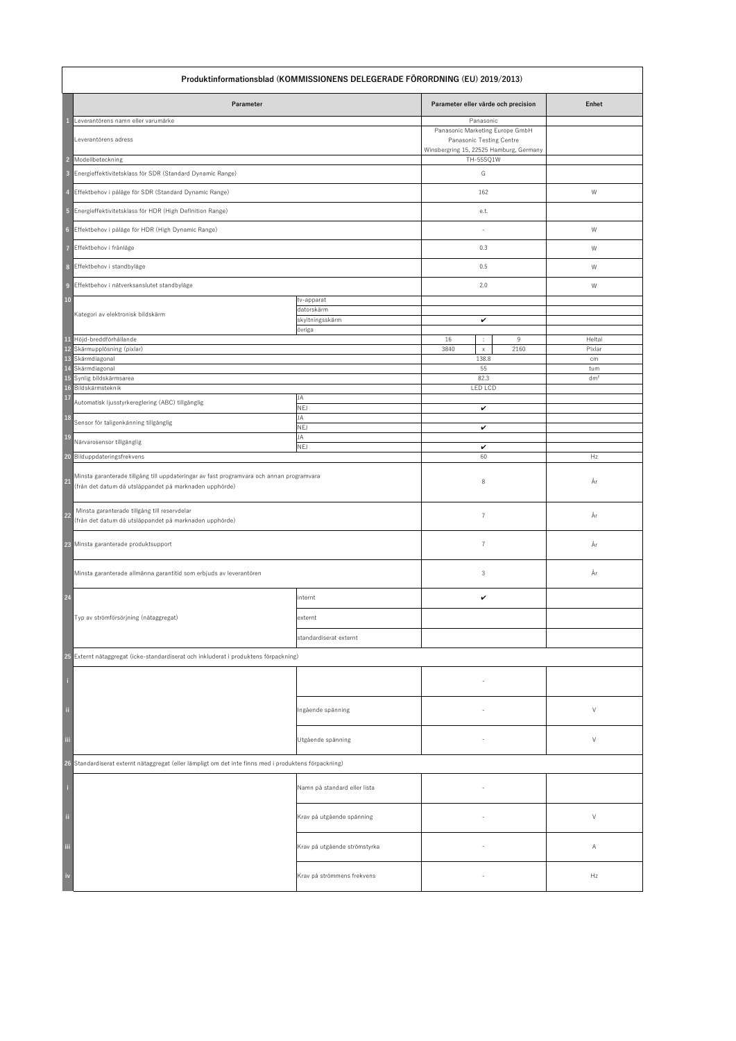| Produktinformationsblad (KOMMISSIONENS DELEGERADE FÖRORDNING (EU) 2019/2013)                                                                             |                                                                                                        |                                                       |                                                                                                                            |                        |
|----------------------------------------------------------------------------------------------------------------------------------------------------------|--------------------------------------------------------------------------------------------------------|-------------------------------------------------------|----------------------------------------------------------------------------------------------------------------------------|------------------------|
|                                                                                                                                                          | Parameter                                                                                              |                                                       | Parameter eller värde och precision                                                                                        | <b>Enhet</b>           |
|                                                                                                                                                          | Leverantörens namn eller varumärke<br>Leverantörens adress                                             |                                                       | Panasonic<br>Panasonic Marketing Europe GmbH<br><b>Panasonic Testing Centre</b><br>Winsbergring 15, 22525 Hamburg, Germany |                        |
| $\overline{\phantom{a}}$                                                                                                                                 | Modellbeteckning                                                                                       |                                                       | TH-55SQ1W                                                                                                                  |                        |
| $\overline{\mathbf{3}}$                                                                                                                                  | Energieffektivitetsklass för SDR (Standard Dynamic Range)                                              |                                                       | G                                                                                                                          |                        |
|                                                                                                                                                          | Effektbehov i påläge för SDR (Standard Dynamic Range)                                                  |                                                       | 162                                                                                                                        | W                      |
| $5\overline{5}$                                                                                                                                          | Energieffektivitetsklass för HDR (High Definition Range)                                               |                                                       | e.t.                                                                                                                       |                        |
| 6                                                                                                                                                        | Effektbehov i påläge för HDR (High Dynamic Range)                                                      |                                                       |                                                                                                                            | W                      |
|                                                                                                                                                          | Effektbehov i frånläge                                                                                 |                                                       | 0.3                                                                                                                        | W                      |
| 8                                                                                                                                                        | Effektbehov i standbyläge                                                                              |                                                       | 0.5                                                                                                                        | W                      |
| $\overline{9}$                                                                                                                                           | Effektbehov i nätverksanslutet standbyläge                                                             |                                                       | 2.0                                                                                                                        | W                      |
| <b>10</b>                                                                                                                                                | Kategori av elektronisk bildskärm                                                                      | tv-apparat<br>datorskärm<br>skyltningsskärm<br>övriga | $\checkmark$                                                                                                               |                        |
| <b>11</b>                                                                                                                                                | Höjd-breddförhållande<br>12 Skärmupplösning (pixlar)                                                   |                                                       | 16<br>9<br>$\mathbb{C}^{\times}$<br>2160<br>3840<br>$\mathsf{X}^-$                                                         | Heltal<br>Pixlar       |
| 13 Skärmdiagonal<br><b>14</b>                                                                                                                            |                                                                                                        |                                                       | 138.8<br>55                                                                                                                | cm                     |
| <b>17</b>                                                                                                                                                | Skärmdiagonal<br>15 Synlig bildskärmsarea<br>16 Bildskärmsteknik                                       | JA                                                    | 82.3<br><b>LED LCD</b>                                                                                                     | tum<br>dm <sup>2</sup> |
|                                                                                                                                                          | Automatisk ljusstyrkereglering (ABC) tillgänglig                                                       | <b>NEJ</b>                                            | $\checkmark$                                                                                                               |                        |
| <b>18</b>                                                                                                                                                | Sensor för taligenkänning tillgänglig                                                                  | JA<br><b>NEJ</b>                                      | $\checkmark$                                                                                                               |                        |
| <b>19</b>                                                                                                                                                | Närvarosensor tillgänglig                                                                              | JA<br><b>NEJ</b>                                      | $\checkmark$                                                                                                               |                        |
| 20                                                                                                                                                       | Bilduppdateringsfrekvens                                                                               |                                                       | 60                                                                                                                         | Hz                     |
| Minsta garanterade tillgång till uppdateringar av fast programvara och annan programvara<br>21<br>(från det datum då utsläppandet på marknaden upphörde) |                                                                                                        |                                                       | 8                                                                                                                          | År                     |
| $\boxed{22}$                                                                                                                                             | Minsta garanterade tillgång till reservdelar<br>(från det datum då utsläppandet på marknaden upphörde) |                                                       | $\overline{7}$                                                                                                             | År                     |
|                                                                                                                                                          | 23 Minsta garanterade produktsupport                                                                   |                                                       | $\overline{7}$                                                                                                             | År                     |
|                                                                                                                                                          | Minsta garanterade allmänna garantitid som erbjuds av leverantören                                     |                                                       | 3                                                                                                                          | År                     |
| 24                                                                                                                                                       |                                                                                                        | internt                                               | $\checkmark$                                                                                                               |                        |
|                                                                                                                                                          | Typ av strömförsörjning (nätaggregat)                                                                  | externt                                               |                                                                                                                            |                        |
|                                                                                                                                                          |                                                                                                        | standardiserat externt                                |                                                                                                                            |                        |
|                                                                                                                                                          | 25 Externt nätaggregat (icke-standardiserat och inkluderat i produktens förpackning)                   |                                                       |                                                                                                                            |                        |
|                                                                                                                                                          |                                                                                                        |                                                       |                                                                                                                            |                        |
| $\ddot{\rm n}$                                                                                                                                           |                                                                                                        | Ingående spänning                                     |                                                                                                                            | $\vee$                 |
| iii                                                                                                                                                      |                                                                                                        | Utgående spänning                                     |                                                                                                                            | $\vee$                 |
| 26 Standardiserat externt nätaggregat (eller lämpligt om det inte finns med i produktens förpackning)                                                    |                                                                                                        |                                                       |                                                                                                                            |                        |
|                                                                                                                                                          |                                                                                                        | Namn på standard eller lista                          |                                                                                                                            |                        |
| $\ddot{\phantom{a}}$                                                                                                                                     |                                                                                                        | Krav på utgående spänning                             |                                                                                                                            | $\vee$                 |
| iii                                                                                                                                                      |                                                                                                        | Krav på utgående strömstyrka                          |                                                                                                                            | A                      |
| $\dot{v}$                                                                                                                                                |                                                                                                        | Krav på strömmens frekvens                            |                                                                                                                            | Hz                     |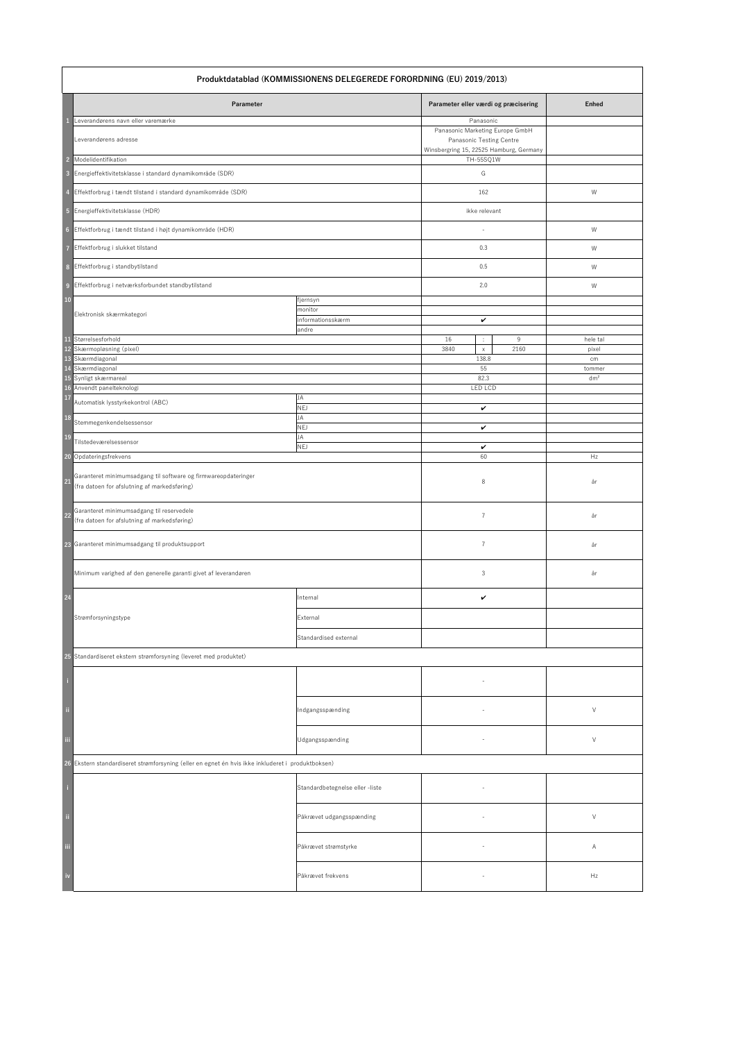|                        | Produktdatablad (KOMMISSIONENS DELEGEREDE FORORDNING (EU) 2019/2013)                                           |                                                   |                                                                                                                     |                           |  |  |
|------------------------|----------------------------------------------------------------------------------------------------------------|---------------------------------------------------|---------------------------------------------------------------------------------------------------------------------|---------------------------|--|--|
|                        | Parameter                                                                                                      |                                                   | Parameter eller værdi og præcisering                                                                                | <b>Enhed</b>              |  |  |
|                        | Leverandørens navn eller varemærke<br>Leverandørens adresse                                                    |                                                   | Panasonic<br>Panasonic Marketing Europe GmbH<br>Panasonic Testing Centre<br>Winsbergring 15, 22525 Hamburg, Germany |                           |  |  |
| $\overline{2}$         | Modelidentifikation                                                                                            |                                                   | TH-55SQ1W                                                                                                           |                           |  |  |
| 3                      | Energieffektivitetsklasse i standard dynamikområde (SDR)                                                       |                                                   | G                                                                                                                   |                           |  |  |
|                        | Effektforbrug i tændt tilstand i standard dynamikområde (SDR)                                                  |                                                   | 162                                                                                                                 | W                         |  |  |
| $\overline{5}$         | Energieffektivitetsklasse (HDR)                                                                                |                                                   | ikke relevant                                                                                                       |                           |  |  |
| $6\phantom{a}$         | Effektforbrug i tændt tilstand i højt dynamikområde (HDR)                                                      |                                                   |                                                                                                                     | W                         |  |  |
|                        | Effektforbrug i slukket tilstand                                                                               |                                                   | 0.3                                                                                                                 | W                         |  |  |
| 8                      | Effektforbrug i standbytilstand                                                                                |                                                   | 0.5                                                                                                                 | W                         |  |  |
| $\overline{9}$         | Effektforbrug i netværksforbundet standbytilstand                                                              |                                                   | 2.0                                                                                                                 | W                         |  |  |
| $10\,$                 | Elektronisk skærmkategori                                                                                      | fjernsyn<br>monitor<br>informationsskærm<br>andre | $\checkmark$                                                                                                        |                           |  |  |
| 11                     | Størrelsesforhold                                                                                              |                                                   | 16<br>9<br>÷.                                                                                                       | hele tal                  |  |  |
| 12<br>13               | Skærmopløsning (pixel)<br>Skærmdiagonal                                                                        |                                                   | 3840<br>2160<br>$\mathsf{X}^-$<br>138.8                                                                             | pixel<br>cm               |  |  |
| $\overline{14}$        | Skærmdiagonal<br>15 Synligt skærmareal<br>16 Anvendt panelteknologi                                            |                                                   | 55<br>82.3<br><b>LED LCD</b>                                                                                        | tommer<br>dm <sup>2</sup> |  |  |
| 17                     | Automatisk lysstyrkekontrol (ABC)                                                                              | JA<br><b>NEJ</b>                                  | $\checkmark$                                                                                                        |                           |  |  |
| <b>18</b>              | Stemmegenkendelsessensor                                                                                       | JA<br><b>NEJ</b>                                  | $\checkmark$                                                                                                        |                           |  |  |
| <b>19</b>              | Tilstedeværelsessensor                                                                                         | JA<br><b>NEJ</b>                                  | $\checkmark$                                                                                                        |                           |  |  |
| <b>20</b>              | Opdateringsfrekvens                                                                                            |                                                   | 60                                                                                                                  | Hz                        |  |  |
| $\overline{21}$        | Garanteret minimumsadgang til software og firmwareopdateringer<br>(fra datoen for afslutning af markedsføring) |                                                   | 8                                                                                                                   | år                        |  |  |
| 22                     | Garanteret minimumsadgang til reservedele<br>(fra datoen for afslutning af markedsføring)                      |                                                   | $\overline{7}$                                                                                                      | år                        |  |  |
|                        | 23 Garanteret minimumsadgang til produktsupport                                                                |                                                   | $\overline{7}$                                                                                                      | år                        |  |  |
|                        | Minimum varighed af den generelle garanti givet af leverandøren                                                |                                                   | 3                                                                                                                   | år                        |  |  |
| 24                     |                                                                                                                | Internal                                          | $\checkmark$                                                                                                        |                           |  |  |
|                        | Strømforsyningstype                                                                                            | External                                          |                                                                                                                     |                           |  |  |
|                        |                                                                                                                | Standardised external                             |                                                                                                                     |                           |  |  |
|                        | 25 Standardiseret ekstern strømforsyning (leveret med produktet)                                               |                                                   |                                                                                                                     |                           |  |  |
|                        |                                                                                                                |                                                   |                                                                                                                     |                           |  |  |
| $\rm ii$               |                                                                                                                | Indgangsspænding                                  | $\overline{\phantom{a}}$                                                                                            | $\vee$                    |  |  |
| iii.                   |                                                                                                                | Udgangsspænding                                   |                                                                                                                     | $\vee$                    |  |  |
|                        | 26 Ekstern standardiseret strømforsyning (eller en egnet én hvis ikke inkluderet i produktboksen)              |                                                   |                                                                                                                     |                           |  |  |
|                        |                                                                                                                | Standardbetegnelse eller -liste                   | $\overline{\phantom{a}}$                                                                                            |                           |  |  |
| $\ddot{\rm n}$         |                                                                                                                | Påkrævet udgangsspænding                          |                                                                                                                     | $\vee$                    |  |  |
| Ш                      |                                                                                                                | Påkrævet strømstyrke                              | $\overline{\phantom{a}}$                                                                                            | A                         |  |  |
| $\mathbf{i}\mathbf{v}$ |                                                                                                                | Påkrævet frekvens                                 |                                                                                                                     | Hz                        |  |  |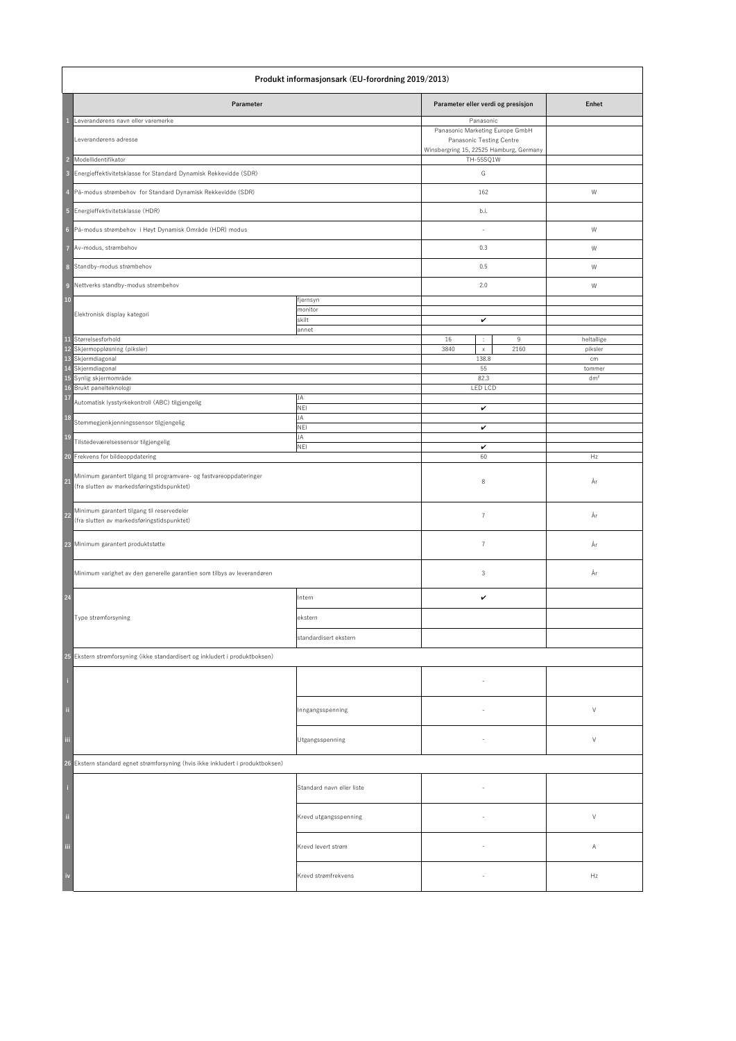| Produkt informasjonsark (EU-forordning 2019/2013) |                                                                                                                   |                                       |                                                                                                                     |                           |
|---------------------------------------------------|-------------------------------------------------------------------------------------------------------------------|---------------------------------------|---------------------------------------------------------------------------------------------------------------------|---------------------------|
|                                                   | Parameter                                                                                                         |                                       | Parameter eller verdi og presisjon                                                                                  | <b>Enhet</b>              |
|                                                   | Leverandørens navn eller varemerke<br>Leverandørens adresse                                                       |                                       | Panasonic<br>Panasonic Marketing Europe GmbH<br>Panasonic Testing Centre<br>Winsbergring 15, 22525 Hamburg, Germany |                           |
| $\overline{2}$                                    | Modellidentifikator                                                                                               |                                       | TH-55SQ1W                                                                                                           |                           |
|                                                   | 3 Energieffektivitetsklasse for Standard Dynamisk Rekkevidde (SDR)                                                |                                       | G                                                                                                                   |                           |
|                                                   | 4 På-modus strømbehov for Standard Dynamisk Rekkevidde (SDR)                                                      |                                       | 162                                                                                                                 | W                         |
|                                                   | 5 Energieffektivitetsklasse (HDR)                                                                                 |                                       | b.i.                                                                                                                |                           |
|                                                   | 6 På-modus strømbehov i Høyt Dynamisk Område (HDR) modus                                                          |                                       |                                                                                                                     | W                         |
| $\overline{7}$                                    | Av-modus, strømbehov                                                                                              |                                       | 0.3                                                                                                                 | W                         |
| 8                                                 | Standby-modus strømbehov                                                                                          |                                       | 0.5                                                                                                                 | W                         |
| 9                                                 | Nettverks standby-modus strømbehov                                                                                |                                       | 2.0                                                                                                                 | W                         |
| <b>10</b>                                         | Elektronisk display kategori                                                                                      | fjernsyn<br>monitor<br>skilt<br>annet | $\checkmark$                                                                                                        |                           |
| <b>11</b>                                         | Størrelsesforhold<br>12 Skjermoppløsning (piksler)                                                                |                                       | 9<br>16<br>$\mathcal{L}_{\mathcal{A}}$<br>3840<br>2160<br>$\mathsf{X}^-$                                            | heltallige<br>piksler     |
| 13                                                | Skjermdiagonal                                                                                                    |                                       | 138.8                                                                                                               | cm                        |
| 14<br><b>15</b><br>17                             | Skjermdiagonal<br>Synlig skjermområde<br>16 Brukt panelteknologi                                                  | JA                                    | 55<br>82.3<br>LED LCD                                                                                               | tommer<br>dm <sup>2</sup> |
|                                                   | Automatisk lysstyrkekontroll (ABC) tilgjengelig                                                                   | NEI                                   | $\checkmark$                                                                                                        |                           |
| <b>18</b>                                         | Stemmegjenkjenningssensor tilgjengelig                                                                            | JA<br>NEI                             | $\checkmark$                                                                                                        |                           |
| <b>19</b>                                         | Tilstedeværelsessensor tilgjengelig                                                                               | JA<br><b>NEI</b>                      | $\checkmark$                                                                                                        |                           |
| <b>20</b>                                         | Frekvens for bildeoppdatering                                                                                     |                                       | 60                                                                                                                  | Hz                        |
| 21                                                | Minimum garantert tilgang til programvare- og fastvareoppdateringer<br>(fra slutten av markedsføringstidspunktet) |                                       | 8                                                                                                                   | År                        |
| 22                                                | Minimum garantert tilgang til reservedeler<br>(fra slutten av markedsføringstidspunktet)                          |                                       | $\overline{7}$                                                                                                      | År                        |
|                                                   | 23 Minimum garantert produktstøtte                                                                                |                                       | $\overline{7}$                                                                                                      | År                        |
|                                                   | Minimum varighet av den generelle garantien som tilbys av leverandøren                                            |                                       | $\mathsf 3$                                                                                                         | År                        |
| 24                                                |                                                                                                                   | Intern                                | $\checkmark$                                                                                                        |                           |
|                                                   | Type strømforsyning                                                                                               | ekstern                               |                                                                                                                     |                           |
|                                                   |                                                                                                                   | standardisert ekstern                 |                                                                                                                     |                           |
|                                                   | 25 Ekstern strømforsyning (ikke standardisert og inkludert i produktboksen)                                       |                                       |                                                                                                                     |                           |
|                                                   |                                                                                                                   |                                       |                                                                                                                     |                           |
| $\ddot{\rm n}$                                    |                                                                                                                   | Inngangsspenning                      |                                                                                                                     | $\vee$                    |
| iii                                               |                                                                                                                   | Utgangsspenning                       |                                                                                                                     | $\vee$                    |
|                                                   | 26 Ekstern standard egnet strømforsyning (hvis ikke inkludert i produktboksen)                                    |                                       |                                                                                                                     |                           |
|                                                   |                                                                                                                   | Standard navn eller liste             |                                                                                                                     |                           |
| $\ddot{\rm n}$                                    |                                                                                                                   | Krevd utgangsspenning                 |                                                                                                                     | $\vee$                    |
| iii                                               |                                                                                                                   | Krevd levert strøm                    |                                                                                                                     | A                         |
| $\mathbf{i}\mathbf{v}$                            |                                                                                                                   | Krevd strømfrekvens                   |                                                                                                                     | Hz                        |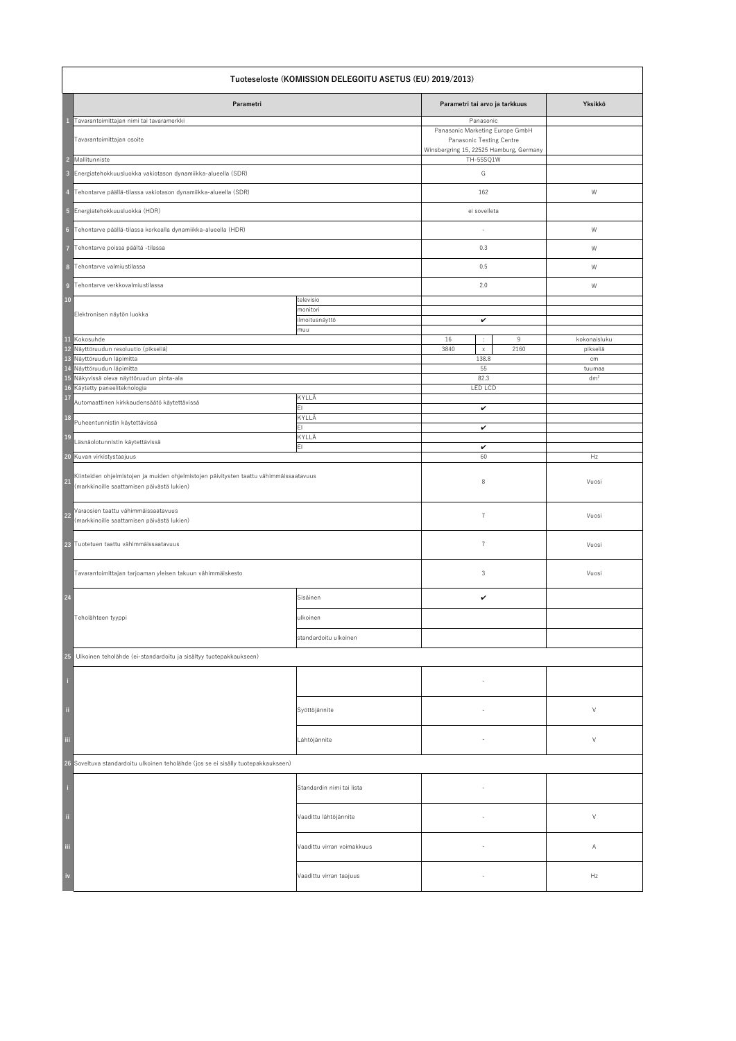|                       | Tuoteseloste (KOMISSION DELEGOITU ASETUS (EU) 2019/2013)                                                                             |                                          |                                                                                                                                  |                          |  |  |
|-----------------------|--------------------------------------------------------------------------------------------------------------------------------------|------------------------------------------|----------------------------------------------------------------------------------------------------------------------------------|--------------------------|--|--|
|                       | Parametri                                                                                                                            |                                          | Parametri tai arvo ja tarkkuus                                                                                                   | Yksikkö                  |  |  |
| $\overline{2}$        | Tavarantoimittajan nimi tai tavaramerkki<br>Tavarantoimittajan osoite<br>Mallitunniste                                               |                                          | Panasonic<br>Panasonic Marketing Europe GmbH<br>Panasonic Testing Centre<br>Winsbergring 15, 22525 Hamburg, Germany<br>TH-55SQ1W |                          |  |  |
| $\overline{3}$        | Energiatehokkuusluokka vakiotason dynamiikka-alueella (SDR)                                                                          |                                          | G                                                                                                                                |                          |  |  |
| 4                     | Tehontarve päällä-tilassa vakiotason dynamiikka-alueella (SDR)                                                                       |                                          | 162                                                                                                                              | W                        |  |  |
| $\overline{5}$        | Energiatehokkuusluokka (HDR)                                                                                                         |                                          | ei sovelleta                                                                                                                     |                          |  |  |
|                       | 6 Tehontarve päällä-tilassa korkealla dynamiikka-alueella (HDR)                                                                      |                                          |                                                                                                                                  | W                        |  |  |
|                       | Tehontarve poissa päältä -tilassa                                                                                                    |                                          | 0.3                                                                                                                              | W                        |  |  |
| 8 <sup>1</sup>        | Tehontarve valmiustilassa                                                                                                            |                                          | 0.5                                                                                                                              | W                        |  |  |
| $\overline{9}$        | Tehontarve verkkovalmiustilassa                                                                                                      |                                          | 2.0                                                                                                                              | W                        |  |  |
| $10\,$                |                                                                                                                                      | televisio                                |                                                                                                                                  |                          |  |  |
|                       | Elektronisen näytön luokka                                                                                                           | monitori<br>ilmoitusnäyttö<br>muu        | $\checkmark$                                                                                                                     |                          |  |  |
| $\mathbf{11}$<br>12   | Kokosuhde<br>Näyttöruudun resoluutio (pikseliä)                                                                                      |                                          | 16<br>9<br>÷<br>3840<br>2160<br>$\mathsf{X}^-$                                                                                   | kokonaisluku<br>pikseliä |  |  |
| 13<br>$\overline{14}$ | Näyttöruudun läpimitta<br>Näyttöruudun läpimitta                                                                                     |                                          | 138.8<br>55                                                                                                                      | cm<br>tuumaa             |  |  |
| 15                    | Näkyvissä oleva näyttöruudun pinta-ala                                                                                               |                                          | 82.3                                                                                                                             | dm <sup>2</sup>          |  |  |
| 16<br>17              | Käytetty paneeliteknologia<br>Automaattinen kirkkaudensäätö käytettävissä                                                            | KYLLÄ<br>$\mathsf{E}\mathsf{I}$<br>KYLLÄ | <b>LED LCD</b><br>$\checkmark$                                                                                                   |                          |  |  |
| <b>18</b>             | Puheentunnistin käytettävissä                                                                                                        | E1                                       | $\checkmark$                                                                                                                     |                          |  |  |
| <b>19</b>             | Läsnäolotunnistin käytettävissä                                                                                                      | KYLLÄ<br>EI.                             | $\checkmark$                                                                                                                     |                          |  |  |
| <b>20</b>             | Kuvan virkistystaajuus                                                                                                               |                                          | 60                                                                                                                               | Hz                       |  |  |
| 21                    | Kiinteiden ohjelmistojen ja muiden ohjelmistojen päivitysten taattu vähimmäissaatavuus<br>(markkinoille saattamisen päivästä lukien) |                                          | 8                                                                                                                                | Vuosi                    |  |  |
| $\boxed{22}$          | Varaosien taattu vähimmäissaatavuus<br>(markkinoille saattamisen päivästä lukien)                                                    |                                          | $\overline{7}$                                                                                                                   | Vuosi                    |  |  |
|                       | 23 Tuotetuen taattu vähimmäissaatavuus                                                                                               |                                          | $\overline{7}$                                                                                                                   | Vuosi                    |  |  |
|                       | Tavarantoimittajan tarjoaman yleisen takuun vähimmäiskesto                                                                           |                                          | 3                                                                                                                                | Vuosi                    |  |  |
| <b>24</b>             |                                                                                                                                      | Sisäinen                                 | $\checkmark$                                                                                                                     |                          |  |  |
|                       | Teholähteen tyyppi                                                                                                                   | ulkoinen                                 |                                                                                                                                  |                          |  |  |
|                       |                                                                                                                                      | standardoitu ulkoinen                    |                                                                                                                                  |                          |  |  |
| 25                    | Ulkoinen teholähde (ei-standardoitu ja sisältyy tuotepakkaukseen)                                                                    |                                          |                                                                                                                                  |                          |  |  |
|                       |                                                                                                                                      |                                          |                                                                                                                                  |                          |  |  |
| $\rm ii$              |                                                                                                                                      | Syöttöjännite                            | $\overline{\phantom{a}}$                                                                                                         | $\vee$                   |  |  |
| iii.                  |                                                                                                                                      | Lähtöjännite                             |                                                                                                                                  | $\vee$                   |  |  |
|                       | 26 Soveltuva standardoitu ulkoinen teholähde (jos se ei sisälly tuotepakkaukseen)                                                    |                                          |                                                                                                                                  |                          |  |  |
|                       |                                                                                                                                      | Standardin nimi tai lista                | $\overline{\phantom{a}}$                                                                                                         |                          |  |  |
| $\mathbf{u}$          |                                                                                                                                      | Vaadittu lähtöjännite                    | $\overline{\phantom{a}}$                                                                                                         | $\vee$                   |  |  |
| Ш                     |                                                                                                                                      | Vaadittu virran voimakkuus               | $\overline{\phantom{a}}$                                                                                                         | A                        |  |  |
| iv                    |                                                                                                                                      | Vaadittu virran taajuus                  | $\overline{\phantom{a}}$                                                                                                         | Hz                       |  |  |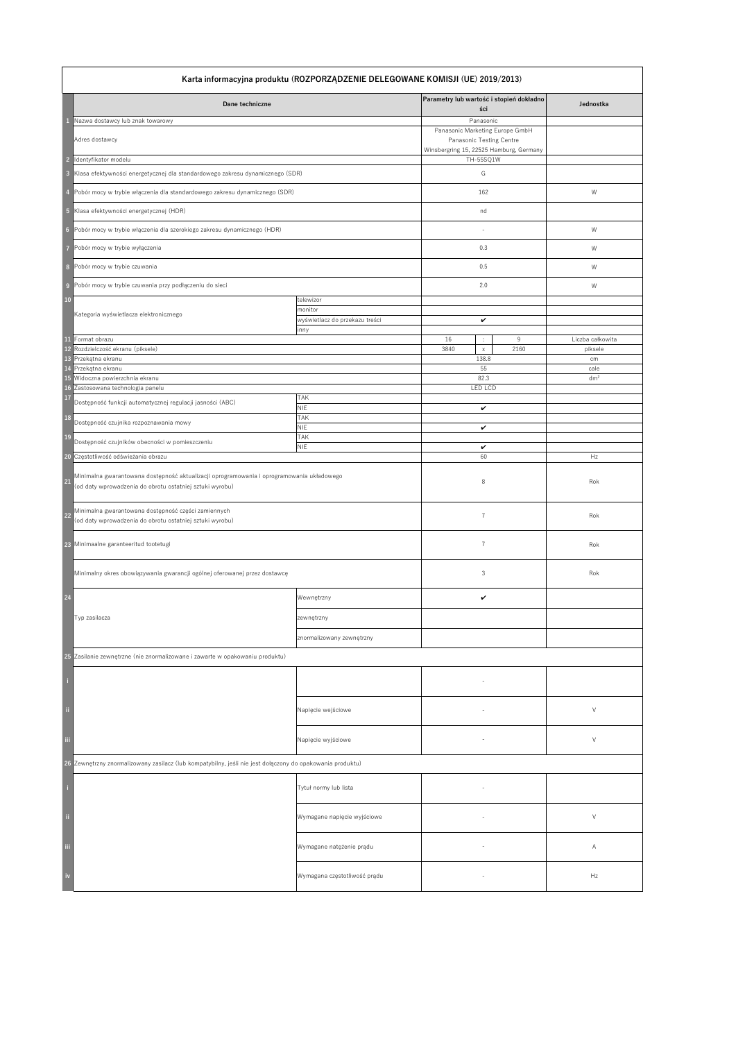|                         | Karta informacyjna produktu (ROZPORZĄDZENIE DELEGOWANE KOMISJI (UE) 2019/2013)                                                                        |                                           |                                                                                                        |                  |  |  |
|-------------------------|-------------------------------------------------------------------------------------------------------------------------------------------------------|-------------------------------------------|--------------------------------------------------------------------------------------------------------|------------------|--|--|
|                         | Dane techniczne                                                                                                                                       |                                           | Parametry lub wartość i stopień dokładno<br>ści                                                        | Jednostka        |  |  |
|                         | Nazwa dostawcy lub znak towarowy                                                                                                                      |                                           | Panasonic                                                                                              |                  |  |  |
|                         | Adres dostawcy                                                                                                                                        |                                           | Panasonic Marketing Europe GmbH<br>Panasonic Testing Centre<br>Winsbergring 15, 22525 Hamburg, Germany |                  |  |  |
| $\mathcal{P}$           | Identyfikator modelu                                                                                                                                  |                                           | TH-55SQ1W                                                                                              |                  |  |  |
| $\overline{\mathbf{3}}$ | Klasa efektywności energetycznej dla standardowego zakresu dynamicznego (SDR)                                                                         |                                           | G                                                                                                      |                  |  |  |
|                         | Pobór mocy w trybie włączenia dla standardowego zakresu dynamicznego (SDR)                                                                            |                                           | 162                                                                                                    | W                |  |  |
| $-5$                    | Klasa efektywności energetycznej (HDR)                                                                                                                |                                           | nd                                                                                                     |                  |  |  |
| 6                       | Pobór mocy w trybie włączenia dla szerokiego zakresu dynamicznego (HDR)                                                                               |                                           |                                                                                                        | W                |  |  |
|                         | Pobór mocy w trybie wyłączenia                                                                                                                        |                                           | 0.3                                                                                                    | W                |  |  |
| 8                       | Pobór mocy w trybie czuwania                                                                                                                          |                                           | 0.5                                                                                                    | W                |  |  |
| $\overline{9}$          | Pobór mocy w trybie czuwania przy podłączeniu do sieci                                                                                                |                                           | 2.0                                                                                                    | W                |  |  |
| <b>10</b>               |                                                                                                                                                       | telewizor                                 |                                                                                                        |                  |  |  |
|                         | Kategoria wyświetlacza elektronicznego                                                                                                                | monitor<br>wyświetlacz do przekazu treści | $\checkmark$                                                                                           |                  |  |  |
|                         |                                                                                                                                                       | inny                                      |                                                                                                        |                  |  |  |
|                         | 11 Format obrazu                                                                                                                                      |                                           | 16<br>9<br>$\mathbb{C}^2$                                                                              | Liczba całkowita |  |  |
|                         | 12 Rozdzielczość ekranu (piksele)<br>13 Przekątna ekranu                                                                                              |                                           | 2160<br>3840<br>$\mathsf{X}^-$<br>138.8                                                                | piksele<br>cm    |  |  |
|                         | 14 Przekątna ekranu                                                                                                                                   |                                           | 55                                                                                                     | cale             |  |  |
|                         | 15 Widoczna powierzchnia ekranu                                                                                                                       |                                           | 82.3                                                                                                   | dm <sup>2</sup>  |  |  |
| 17                      | 16 Zastosowana technologia panelu                                                                                                                     | <b>TAK</b>                                | LED LCD                                                                                                |                  |  |  |
|                         | Dostępność funkcji automatycznej regulacji jasności (ABC)                                                                                             | <b>NIE</b>                                | $\checkmark$                                                                                           |                  |  |  |
| <b>18</b>               | Dostępność czujnika rozpoznawania mowy                                                                                                                | <b>TAK</b><br><b>NIE</b>                  | $\checkmark$                                                                                           |                  |  |  |
| <b>19</b>               | Dostępność czujników obecności w pomieszczeniu                                                                                                        | <b>TAK</b><br><b>NIE</b>                  | $\checkmark$                                                                                           |                  |  |  |
|                         | 20 Częstotliwość odświeżania obrazu                                                                                                                   |                                           | 60                                                                                                     | Hz               |  |  |
| 21                      | Minimalna gwarantowana dostępność aktualizacji oprogramowania i oprogramowania układowego<br>(od daty wprowadzenia do obrotu ostatniej sztuki wyrobu) |                                           | 8                                                                                                      | Rok              |  |  |
| 22                      | Minimalna gwarantowana dostępność części zamiennych<br>(od daty wprowadzenia do obrotu ostatniej sztuki wyrobu)                                       |                                           | 7                                                                                                      | Rok              |  |  |
| 23                      | Minimaalne garanteeritud tootetugi                                                                                                                    |                                           | $\overline{7}$                                                                                         | Rok              |  |  |
|                         | Minimalny okres obowiązywania gwarancji ogólnej oferowanej przez dostawcę                                                                             |                                           | $\mathfrak{Z}$                                                                                         | Rok              |  |  |
| 24                      |                                                                                                                                                       | Wewnętrzny                                | $\checkmark$                                                                                           |                  |  |  |
|                         | Typ zasilacza                                                                                                                                         | zewnętrzny                                |                                                                                                        |                  |  |  |
|                         |                                                                                                                                                       | znormalizowany zewnętrzny                 |                                                                                                        |                  |  |  |
|                         | 25 Zasilanie zewnętrzne (nie znormalizowane i zawarte w opakowaniu produktu)                                                                          |                                           |                                                                                                        |                  |  |  |
|                         |                                                                                                                                                       |                                           |                                                                                                        |                  |  |  |
| $\ddot{\phantom{a}}$    |                                                                                                                                                       | Napięcie wejściowe                        |                                                                                                        | $\vee$           |  |  |
| $\,$ iii                |                                                                                                                                                       | Napięcie wyjściowe                        |                                                                                                        | $\vee$           |  |  |
|                         | 26 Zewnętrzny znormalizowany zasilacz (lub kompatybilny, jeśli nie jest dołączony do opakowania produktu)                                             |                                           |                                                                                                        |                  |  |  |
|                         |                                                                                                                                                       | Tytuł normy lub lista                     |                                                                                                        |                  |  |  |
| $\ddot{\rm n}$          |                                                                                                                                                       | Wymagane napięcie wyjściowe               |                                                                                                        | V                |  |  |
| $\,$ iii                |                                                                                                                                                       | Wymagane natężenie prądu                  |                                                                                                        | A                |  |  |
| iv                      |                                                                                                                                                       | Wymagana częstotliwość prądu              |                                                                                                        | Hz               |  |  |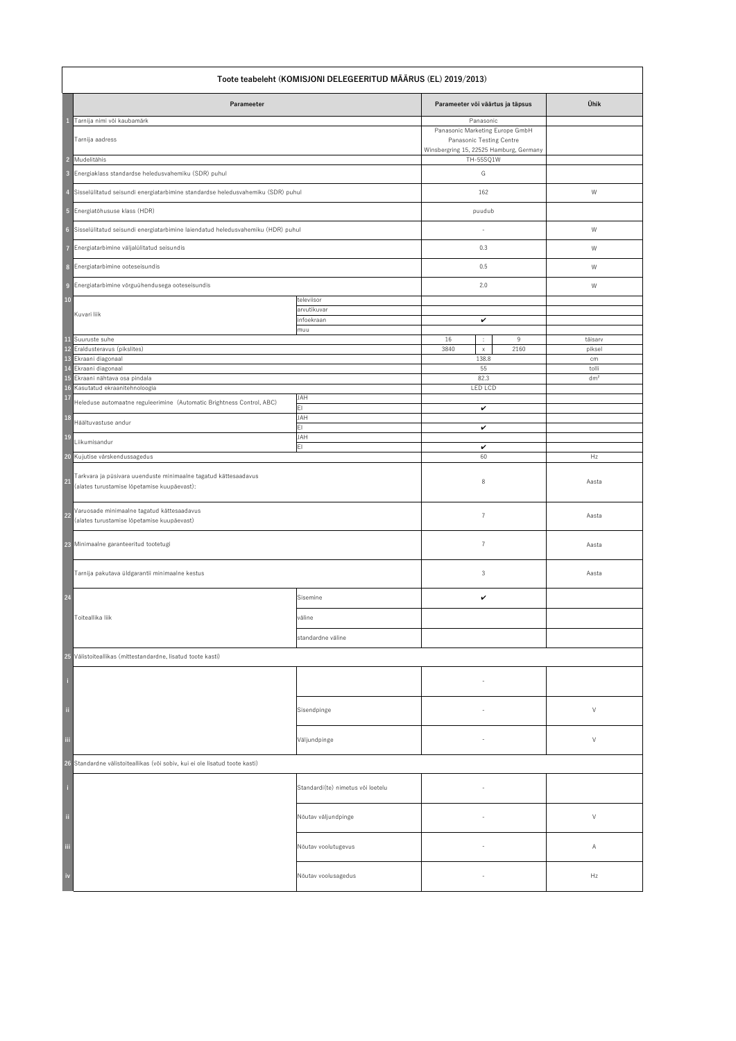|                                                                             | Toote teabeleht (KOMISJONI DELEGEERITUD MÄÄRUS (EL) 2019/2013)                                                 |                                   |                                                      |                 |  |  |
|-----------------------------------------------------------------------------|----------------------------------------------------------------------------------------------------------------|-----------------------------------|------------------------------------------------------|-----------------|--|--|
|                                                                             | Parameeter                                                                                                     |                                   | Parameeter või väärtus ja täpsus                     | Ühik            |  |  |
|                                                                             | Tarnija nimi või kaubamärk                                                                                     |                                   | Panasonic<br>Panasonic Marketing Europe GmbH         |                 |  |  |
|                                                                             | Tarnija aadress                                                                                                |                                   | <b>Panasonic Testing Centre</b>                      |                 |  |  |
| $\overline{2}$                                                              | Mudelitähis                                                                                                    |                                   | Winsbergring 15, 22525 Hamburg, Germany<br>TH-55SQ1W |                 |  |  |
| $\overline{\mathbf{3}}$                                                     | Energiaklass standardse heledusvahemiku (SDR) puhul                                                            |                                   | G                                                    |                 |  |  |
| $\overline{4}$                                                              | Sisselülitatud seisundi energiatarbimine standardse heledusvahemiku (SDR) puhul                                |                                   | 162                                                  | W               |  |  |
|                                                                             | 5 Energiatõhususe klass (HDR)                                                                                  |                                   | puudub                                               |                 |  |  |
|                                                                             | 6 Sisselülitatud seisundi energiatarbimine laiendatud heledusvahemiku (HDR) puhul                              |                                   | $\overline{\phantom{a}}$                             | W               |  |  |
| $\overline{7}$                                                              | Energiatarbimine väljalülitatud seisundis                                                                      |                                   | 0.3                                                  | W               |  |  |
| 8                                                                           | Energiatarbimine ooteseisundis                                                                                 |                                   | 0.5                                                  | W               |  |  |
| $\overline{9}$                                                              | Energiatarbimine võrguühendusega ooteseisundis                                                                 |                                   | 2.0                                                  | W               |  |  |
| $10$                                                                        |                                                                                                                | televiisor                        |                                                      |                 |  |  |
|                                                                             | Kuvari liik                                                                                                    | arvutikuvar<br>infoekraan         | $\checkmark$                                         |                 |  |  |
|                                                                             |                                                                                                                | muu                               |                                                      |                 |  |  |
|                                                                             | 11 Suuruste suhe                                                                                               |                                   | 16<br>9<br>÷<br>2160<br>3840                         | täisarv         |  |  |
|                                                                             | 12 Eraldusteravus (pikslites)<br>13 Ekraani diagonaal                                                          |                                   | $\mathsf X$<br>138.8                                 | piksel<br>cm    |  |  |
|                                                                             | 14 Ekraani diagonaal                                                                                           |                                   | 55                                                   | tolli           |  |  |
|                                                                             | 15 Ekraani nähtava osa pindala<br>16 Kasutatud ekraanitehnoloogia                                              |                                   | 82.3<br><b>LED LCD</b>                               | dm <sup>2</sup> |  |  |
| 17                                                                          |                                                                                                                | <b>JAH</b>                        |                                                      |                 |  |  |
| <b>18</b>                                                                   | Heleduse automaatne reguleerimine (Automatic Brightness Control, ABC)                                          | EI<br><b>JAH</b>                  | $\checkmark$                                         |                 |  |  |
| <b>19</b>                                                                   | Häältuvastuse andur                                                                                            | E1<br><b>JAH</b>                  | $\checkmark$                                         |                 |  |  |
|                                                                             | Liikumisandur                                                                                                  | EI                                | $\checkmark$                                         |                 |  |  |
| <b>20</b>                                                                   | Kujutise värskendussagedus                                                                                     |                                   | 60                                                   | Hz              |  |  |
| <b>21</b>                                                                   | Tarkvara ja püsivara uuenduste minimaalne tagatud kättesaadavus<br>(alates turustamise lõpetamise kuupäevast): |                                   | 8                                                    | Aasta           |  |  |
| 22                                                                          | Varuosade minimaalne tagatud kättesaadavus<br>(alates turustamise lõpetamise kuupäevast)                       |                                   | $\overline{7}$                                       | Aasta           |  |  |
|                                                                             | 23 Minimaalne garanteeritud tootetugi                                                                          |                                   | $\overline{7}$                                       | Aasta           |  |  |
|                                                                             | $\vert$ Tarnija pakutava üldgarantii minimaalne kestus                                                         |                                   | $\mathfrak{Z}$                                       | Aasta           |  |  |
| 24                                                                          |                                                                                                                | Sisemine                          | $\checkmark$                                         |                 |  |  |
|                                                                             | Toiteallika liik                                                                                               | väline                            |                                                      |                 |  |  |
|                                                                             |                                                                                                                | standardne väline                 |                                                      |                 |  |  |
|                                                                             | 25 Välistoiteallikas (mittestandardne, lisatud toote kasti)                                                    |                                   |                                                      |                 |  |  |
| ÷,                                                                          |                                                                                                                |                                   |                                                      |                 |  |  |
| $\ddot{\phantom{a}}$                                                        |                                                                                                                | Sisendpinge                       |                                                      | $\vee$          |  |  |
| iii                                                                         |                                                                                                                | Väljundpinge                      |                                                      | $\vee$          |  |  |
| 26 Standardne välistoiteallikas (või sobiv, kui ei ole lisatud toote kasti) |                                                                                                                |                                   |                                                      |                 |  |  |
| $\mathbf{j}$                                                                |                                                                                                                | Standardi(te) nimetus või loetelu |                                                      |                 |  |  |
| $\ddot{0}$                                                                  |                                                                                                                | Nõutav väljundpinge               | $\sim$                                               | V               |  |  |
| iii                                                                         |                                                                                                                | Nõutav voolutugevus               | $\sim$                                               | A               |  |  |
| $\mathbf{i}$                                                                |                                                                                                                | Nõutav voolusagedus               | $\sim$                                               | Hz              |  |  |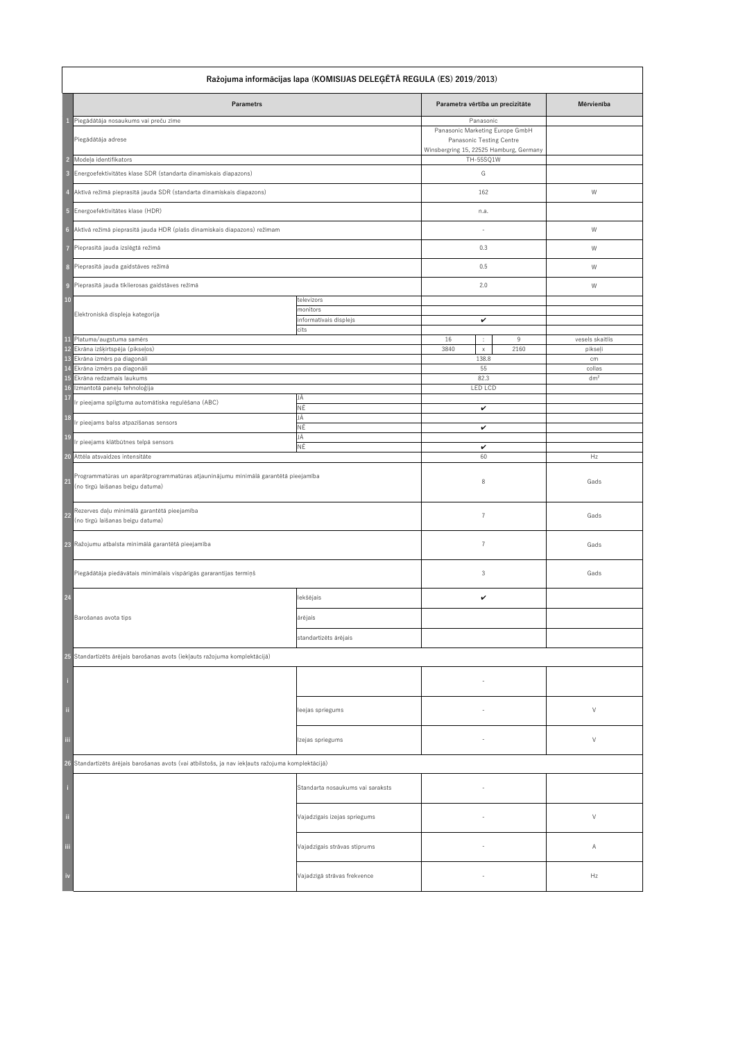| Ražojuma informācijas lapa (KOMISIJAS DELEĢĒTĀ REGULA (ES) 2019/2013)                             |                                                                                                                                                                                                           |                                                  |                                                                                                                     |                            |  |
|---------------------------------------------------------------------------------------------------|-----------------------------------------------------------------------------------------------------------------------------------------------------------------------------------------------------------|--------------------------------------------------|---------------------------------------------------------------------------------------------------------------------|----------------------------|--|
|                                                                                                   | <b>Parametrs</b>                                                                                                                                                                                          |                                                  | Parametra vērtība un precizitāte                                                                                    | Mērvienība                 |  |
|                                                                                                   | Piegādātāja nosaukums vai preču zīme<br>Piegādātāja adrese                                                                                                                                                |                                                  | Panasonic<br>Panasonic Marketing Europe GmbH<br>Panasonic Testing Centre<br>Winsbergring 15, 22525 Hamburg, Germany |                            |  |
| $\overline{2}$<br>$\overline{\mathbf{3}}$                                                         | Modeļa identifikators<br>Energoefektivitātes klase SDR (standarta dinamiskais diapazons)                                                                                                                  |                                                  | TH-55SQ1W<br>G                                                                                                      |                            |  |
| $\overline{4}$                                                                                    | Aktīvā režīmā pieprasītā jauda SDR (standarta dinamiskais diapazons)                                                                                                                                      |                                                  | 162                                                                                                                 | W                          |  |
|                                                                                                   | 5 Energoefektivitātes klase (HDR)                                                                                                                                                                         |                                                  | n.a.                                                                                                                |                            |  |
| $6\phantom{.}6$                                                                                   | Aktīvā režīmā pieprasītā jauda HDR (plašs dinamiskais diapazons) režīmam                                                                                                                                  |                                                  |                                                                                                                     | W                          |  |
| $\overline{7}$                                                                                    | Pieprasītā jauda izslēgtā režīmā                                                                                                                                                                          |                                                  | 0.3                                                                                                                 | W                          |  |
| 8                                                                                                 | Pieprasītā jauda gaidstāves režīmā                                                                                                                                                                        |                                                  | 0.5                                                                                                                 | W                          |  |
| $\overline{9}$                                                                                    | Pieprasītā jauda tīklierosas gaidstāves režīmā                                                                                                                                                            |                                                  | 2.0                                                                                                                 | W                          |  |
| <b>10</b>                                                                                         | Elektroniskā displeja kategorija                                                                                                                                                                          | televizors<br>monitors<br>informatīvais displejs | $\checkmark$                                                                                                        |                            |  |
|                                                                                                   |                                                                                                                                                                                                           | cits                                             |                                                                                                                     |                            |  |
|                                                                                                   | 11 Platuma/augstuma samērs<br>12 Ekrāna izšķirtspēja (pikseļos)                                                                                                                                           |                                                  | 16<br>9<br>÷.<br>3840<br>2160<br>$\mathsf{X}^-$                                                                     | vesels skaitlis<br>pikseļi |  |
|                                                                                                   | 13 Ekrāna izmērs pa diagonāli<br>14 Ekrāna izmērs pa diagonāli                                                                                                                                            |                                                  | 138.8<br>55                                                                                                         | cm<br>collas               |  |
|                                                                                                   | 15 Ekrāna redzamais laukums<br>16 Izmantotā paneļu tehnoloģija                                                                                                                                            |                                                  | 82.3<br><b>LED LCD</b>                                                                                              | dm <sup>2</sup>            |  |
| 17                                                                                                | Ir pieejama spilgtuma automātiska regulēšana (ABC)                                                                                                                                                        | JĀ                                               |                                                                                                                     |                            |  |
| 18                                                                                                | Ir pieejams balss atpazīšanas sensors                                                                                                                                                                     | NĒ<br>JĀ<br>NĒ                                   | $\checkmark$<br>$\checkmark$                                                                                        |                            |  |
| <b>19</b>                                                                                         | Ir pieejams klātbūtnes telpā sensors                                                                                                                                                                      | JĀ<br>NĒ                                         | $\checkmark$                                                                                                        |                            |  |
|                                                                                                   | 20 Attēla atsvaidzes intensitāte                                                                                                                                                                          |                                                  | 60                                                                                                                  | Hz                         |  |
| 21                                                                                                | Programmatūras un aparātprogrammatūras atjauninājumu minimālā garantētā pieejamība<br>(no tirgū laišanas beigu datuma)<br>Rezerves daļu minimālā garantētā pieejamība<br>(no tirgū laišanas beigu datuma) |                                                  | 8                                                                                                                   | Gads                       |  |
| <b>22</b>                                                                                         |                                                                                                                                                                                                           |                                                  | $\overline{7}$                                                                                                      | Gads                       |  |
|                                                                                                   | 23 Ražojumu atbalsta minimālā garantētā pieejamība                                                                                                                                                        |                                                  | 7                                                                                                                   | Gads                       |  |
|                                                                                                   | Piegādātāja piedāvātais minimālais vispārīgās gararantijas termiņš                                                                                                                                        |                                                  | 3                                                                                                                   | Gads                       |  |
| <b>24</b>                                                                                         |                                                                                                                                                                                                           | lekšējais                                        | $\checkmark$                                                                                                        |                            |  |
|                                                                                                   | Barošanas avota tips                                                                                                                                                                                      | ārējais                                          |                                                                                                                     |                            |  |
|                                                                                                   |                                                                                                                                                                                                           | standartizēts ārējais                            |                                                                                                                     |                            |  |
|                                                                                                   | 25 Standartizēts ārējais barošanas avots (iekļauts ražojuma komplektācijā)                                                                                                                                |                                                  |                                                                                                                     |                            |  |
| ÷,                                                                                                |                                                                                                                                                                                                           |                                                  |                                                                                                                     |                            |  |
| $\ddot{\phantom{a}}$                                                                              |                                                                                                                                                                                                           | leejas spriegums                                 |                                                                                                                     | $\vee$                     |  |
| iii                                                                                               |                                                                                                                                                                                                           | Izejas spriegums                                 |                                                                                                                     | $\vee$                     |  |
| 26 Standartizēts ārējais barošanas avots (vai atbilstošs, ja nav iekļauts ražojuma komplektācijā) |                                                                                                                                                                                                           |                                                  |                                                                                                                     |                            |  |
| l ij                                                                                              |                                                                                                                                                                                                           | Standarta nosaukums vai saraksts                 |                                                                                                                     |                            |  |
| ji.                                                                                               |                                                                                                                                                                                                           | Vajadzīgais izejas spriegums                     |                                                                                                                     | $\vee$                     |  |
| iii                                                                                               |                                                                                                                                                                                                           | Vajadzīgais strāvas stiprums                     |                                                                                                                     | A                          |  |
| iv                                                                                                |                                                                                                                                                                                                           | Vajadzīgā strāvas frekvence                      |                                                                                                                     | Hz                         |  |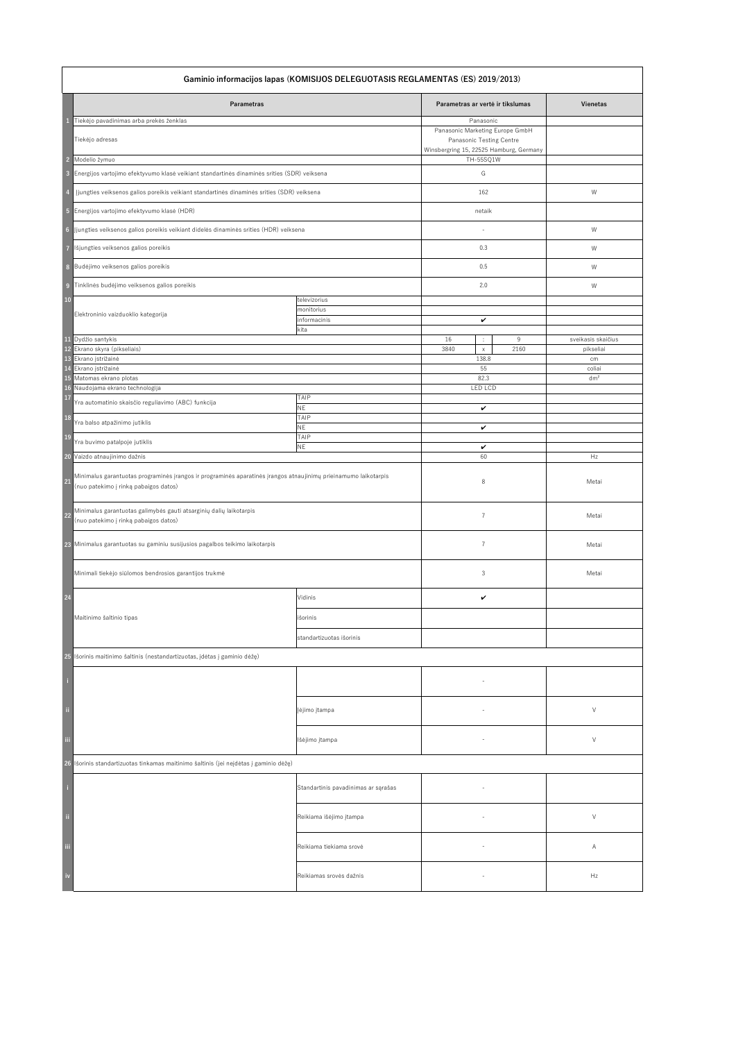| Gaminio informacijos lapas (KOMISIJOS DELEGUOTASIS REGLAMENTAS (ES) 2019/2013) |                                                                                                                                                          |                                     |                                                                                                        |      |                    |
|--------------------------------------------------------------------------------|----------------------------------------------------------------------------------------------------------------------------------------------------------|-------------------------------------|--------------------------------------------------------------------------------------------------------|------|--------------------|
|                                                                                | <b>Parametras</b>                                                                                                                                        |                                     | Parametras ar vertė ir tikslumas                                                                       |      | <b>Vienetas</b>    |
|                                                                                | Tiekėjo pavadinimas arba prekės ženklas                                                                                                                  |                                     | Panasonic                                                                                              |      |                    |
|                                                                                | Tiekėjo adresas                                                                                                                                          |                                     | Panasonic Marketing Europe GmbH<br>Panasonic Testing Centre<br>Winsbergring 15, 22525 Hamburg, Germany |      |                    |
|                                                                                | 2 Modelio žymuo                                                                                                                                          |                                     | TH-55SQ1W                                                                                              |      |                    |
| $\overline{\mathbf{3}}$                                                        | Energijos vartojimo efektyvumo klasė veikiant standartinės dinaminės srities (SDR) veiksena                                                              |                                     | G                                                                                                      |      |                    |
|                                                                                | Įjungties veiksenos galios poreikis veikiant standartinės dinaminės srities (SDR) veiksena                                                               |                                     | 162                                                                                                    |      | W                  |
|                                                                                | 5 Energijos vartojimo efektyvumo klasė (HDR)                                                                                                             |                                     | netaik                                                                                                 |      |                    |
|                                                                                | 6  Jjungties veiksenos galios poreikis veikiant didelės dinaminės srities (HDR) veiksena                                                                 |                                     |                                                                                                        |      | W                  |
|                                                                                |                                                                                                                                                          |                                     | 0.3                                                                                                    |      |                    |
| $\overline{7}$                                                                 | Išjungties veiksenos galios poreikis                                                                                                                     |                                     |                                                                                                        |      | W                  |
|                                                                                | 8 Budėjimo veiksenos galios poreikis                                                                                                                     |                                     | 0.5                                                                                                    |      | W                  |
| $\overline{9}$                                                                 | Tinklinės budėjimo veiksenos galios poreikis                                                                                                             |                                     | 2.0                                                                                                    |      | W                  |
| <b>10</b>                                                                      |                                                                                                                                                          | televizorius                        |                                                                                                        |      |                    |
|                                                                                | Elektroninio vaizduoklio kategorija                                                                                                                      | monitorius<br>informacinis<br>kita  | $\checkmark$                                                                                           |      |                    |
|                                                                                | 11 Dydžio santykis                                                                                                                                       |                                     | 16<br>÷                                                                                                | 9    | sveikasis skaičius |
|                                                                                | 12 Ekrano skyra (pikseliais)                                                                                                                             |                                     | 3840<br>$\mathsf{X}^-$                                                                                 | 2160 | pikseliai          |
|                                                                                | 13 Ekrano įstrižainė                                                                                                                                     |                                     | 138.8                                                                                                  |      | cm                 |
|                                                                                | 14 Ekrano įstrižainė                                                                                                                                     |                                     | 55                                                                                                     |      | coliai             |
|                                                                                | 15 Matomas ekrano plotas                                                                                                                                 |                                     | 82.3                                                                                                   |      | dm <sup>2</sup>    |
|                                                                                | 16 Naudojama ekrano technologija                                                                                                                         |                                     | <b>LED LCD</b>                                                                                         |      |                    |
| <b>17</b>                                                                      | Yra automatinio skaisčio reguliavimo (ABC) funkcija                                                                                                      | <b>TAIP</b><br><b>NE</b>            | $\checkmark$                                                                                           |      |                    |
| <b>18</b>                                                                      | Yra balso atpažinimo jutiklis                                                                                                                            | <b>TAIP</b><br><b>NE</b>            | $\checkmark$                                                                                           |      |                    |
| <b>19</b>                                                                      | Yra buvimo patalpoje jutiklis                                                                                                                            | <b>TAIP</b><br><b>NE</b>            | $\checkmark$                                                                                           |      |                    |
|                                                                                | 20 Vaizdo atnaujinimo dažnis                                                                                                                             |                                     | 60                                                                                                     |      | Hz                 |
| 21                                                                             | Minimalus garantuotas programinės įrangos ir programinės aparatinės įrangos atnaujinimų prieinamumo laikotarpis<br>(nuo patekimo į rinką pabaigos datos) |                                     | 8                                                                                                      |      | Metai              |
| 22                                                                             | Minimalus garantuotas galimybės gauti atsarginių dalių laikotarpis<br>(nuo patekimo į rinką pabaigos datos)                                              |                                     | $\overline{7}$                                                                                         |      | Metai              |
|                                                                                | 23 Minimalus garantuotas su gaminiu susijusios pagalbos teikimo laikotarpis                                                                              |                                     | $\overline{7}$                                                                                         |      | Metai              |
|                                                                                | Minimali tiekėjo siūlomos bendrosios garantijos trukmė                                                                                                   |                                     | 3                                                                                                      |      | Metai              |
| 24                                                                             |                                                                                                                                                          | Vidinis                             | $\boldsymbol{\mathcal{U}}$                                                                             |      |                    |
|                                                                                | Maitinimo šaltinio tipas                                                                                                                                 | išorinis                            |                                                                                                        |      |                    |
|                                                                                |                                                                                                                                                          | standartizuotas išorinis            |                                                                                                        |      |                    |
|                                                                                | 25 Išorinis maitinimo šaltinis (nestandartizuotas, įdėtas į gaminio dėžę)                                                                                |                                     |                                                                                                        |      |                    |
|                                                                                |                                                                                                                                                          |                                     |                                                                                                        |      |                    |
| -fi                                                                            |                                                                                                                                                          | Įėjimo įtampa                       |                                                                                                        |      | $\vee$             |
| iii                                                                            |                                                                                                                                                          | Išėjimo įtampa                      |                                                                                                        |      | $\vee$             |
|                                                                                | 26 Išorinis standartizuotas tinkamas maitinimo šaltinis (jei neįdėtas į gaminio dėžę)                                                                    |                                     |                                                                                                        |      |                    |
|                                                                                |                                                                                                                                                          | Standartinis pavadinimas ar sąrašas |                                                                                                        |      |                    |
| $\ddot{\mathbf{u}}$                                                            |                                                                                                                                                          | Reikiama išėjimo įtampa             | $\overline{\phantom{a}}$                                                                               |      | $\vee$             |
| iii                                                                            |                                                                                                                                                          | Reikiama tiekiama srovė             | $\overline{\phantom{a}}$                                                                               |      | A                  |
| iv                                                                             |                                                                                                                                                          | Reikiamas srovės dažnis             |                                                                                                        |      | Hz                 |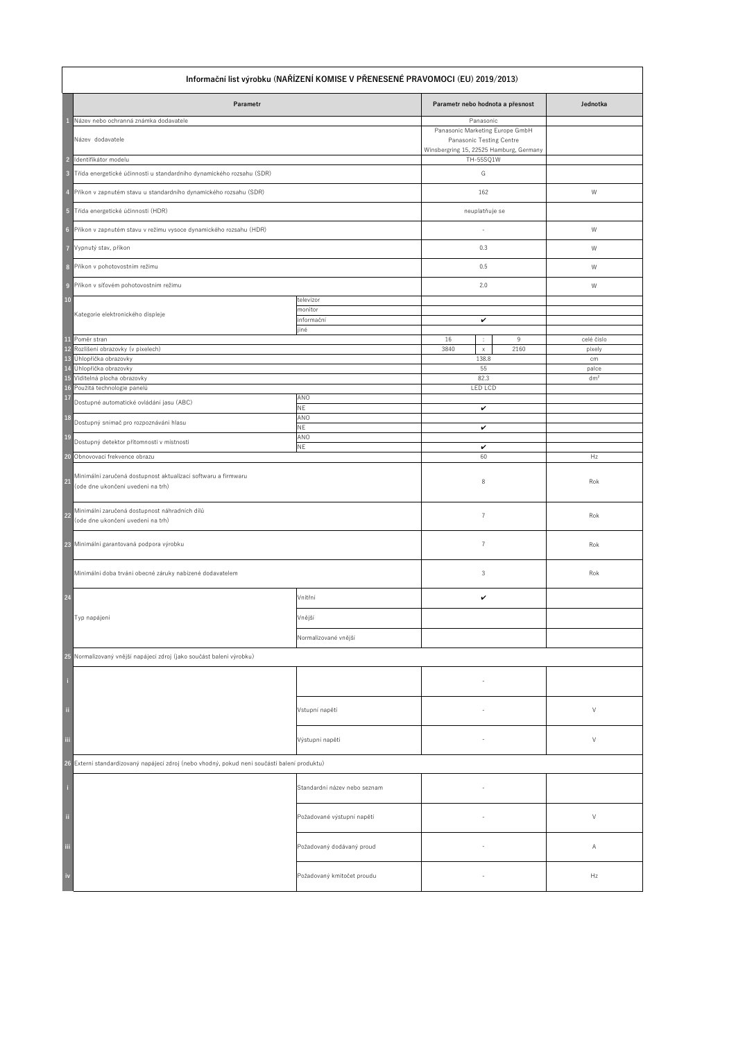|                         | Informační list výrobku (NAŘÍZENÍ KOMISE V PŘENESENÉ PRAVOMOCI (EU) 2019/2013)                     |                              |                                                                                                        |                 |  |
|-------------------------|----------------------------------------------------------------------------------------------------|------------------------------|--------------------------------------------------------------------------------------------------------|-----------------|--|
|                         | Parametr                                                                                           |                              | Parametr nebo hodnota a přesnost                                                                       | Jednotka        |  |
|                         | Název nebo ochranná známka dodavatele                                                              |                              | Panasonic                                                                                              |                 |  |
|                         | Název dodavatele                                                                                   |                              | Panasonic Marketing Europe GmbH<br>Panasonic Testing Centre<br>Winsbergring 15, 22525 Hamburg, Germany |                 |  |
| $\overline{2}$          | Identifikátor modelu                                                                               |                              | TH-55SQ1W                                                                                              |                 |  |
| $\overline{\mathbf{3}}$ | Třída energetické účinnosti u standardního dynamického rozsahu (SDR)                               |                              | G                                                                                                      |                 |  |
|                         | Příkon v zapnutém stavu u standardního dynamického rozsahu (SDR)                                   |                              | 162                                                                                                    | W               |  |
| $-5$                    | Třída energetické účinnosti (HDR)                                                                  |                              | neuplatňuje se                                                                                         |                 |  |
| $6\phantom{1}6$         | Příkon v zapnutém stavu v režimu vysoce dynamického rozsahu (HDR)                                  |                              |                                                                                                        | W               |  |
| $\overline{7}$          | Vypnutý stav, příkon                                                                               |                              | 0.3                                                                                                    | W               |  |
| 8                       | Příkon v pohotovostním režimu                                                                      |                              | 0.5                                                                                                    | W               |  |
| $\overline{9}$          | Příkon v síťovém pohotovostním režimu                                                              |                              | 2.0                                                                                                    | W               |  |
| 10                      |                                                                                                    | televizor                    |                                                                                                        |                 |  |
|                         | Kategorie elektronického displeje                                                                  | monitor<br>informační        | $\checkmark$                                                                                           |                 |  |
| 11                      | Poměr stran                                                                                        | jiné                         | 16<br>9<br>$\mathbb{Z}^n$                                                                              | celé číslo      |  |
|                         | 12 Rozlišení obrazovky (v pixelech)                                                                |                              | 2160<br>3840<br>$\times$                                                                               | pixely          |  |
| 13<br>14                | Úhlopříčka obrazovky<br>Úhlopříčka obrazovky                                                       |                              | 138.8<br>55                                                                                            | cm<br>palce     |  |
|                         | 15 Viditelná plocha obrazovky                                                                      |                              | 82.3                                                                                                   | dm <sup>2</sup> |  |
| <b>17</b>               | 16 Použitá technologie panelů                                                                      | ANO                          | LED LCD                                                                                                |                 |  |
|                         | Dostupné automatické ovládání jasu (ABC)                                                           | <b>NE</b>                    | $\checkmark$                                                                                           |                 |  |
| <b>18</b><br><b>19</b>  | Dostupný snímač pro rozpoznávání hlasu                                                             | ANO<br><b>NE</b><br>ANO      | $\checkmark$                                                                                           |                 |  |
|                         | Dostupný detektor přítomnosti v místnosti                                                          | <b>NE</b>                    | $\checkmark$                                                                                           |                 |  |
| <b>20</b>               | Obnovovací frekvence obrazu                                                                        |                              | 60                                                                                                     | Hz              |  |
| 21                      | Minimální zaručená dostupnost aktualizací softwaru a firmwaru<br>(ode dne ukončení uvedení na trh) |                              | 8                                                                                                      | Rok             |  |
| 22                      | Minimální zaručená dostupnost náhradních dílů<br>(ode dne ukončení uvedení na trh)                 |                              | $\overline{7}$                                                                                         | Rok             |  |
|                         | 23 Minimální garantovaná podpora výrobku                                                           |                              |                                                                                                        | Rok             |  |
|                         | Minimální doba trvání obecné záruky nabízené dodavatelem                                           |                              | 3                                                                                                      | Rok             |  |
| 24                      |                                                                                                    | Vnitřní                      | $\checkmark$                                                                                           |                 |  |
|                         | Typ napájení                                                                                       | Vnější                       |                                                                                                        |                 |  |
|                         |                                                                                                    | Normalizované vnější         |                                                                                                        |                 |  |
|                         | 25 Normalizovaný vnější napájecí zdroj (jako součást balení výrobku)                               |                              |                                                                                                        |                 |  |
|                         |                                                                                                    |                              |                                                                                                        |                 |  |
| $\ddot{\rm n}$          |                                                                                                    | Vstupní napětí               |                                                                                                        | $\vee$          |  |
| iii                     |                                                                                                    | Výstupní napětí              |                                                                                                        | $\vee$          |  |
|                         | 26 Externí standardizovaný napájecí zdroj (nebo vhodný, pokud není součástí balení produktu)       |                              |                                                                                                        |                 |  |
| -i                      |                                                                                                    | Standardní název nebo seznam |                                                                                                        |                 |  |
| $\ddot{a}$              |                                                                                                    | Požadované výstupní napětí   |                                                                                                        | $\vee$          |  |
| iii                     |                                                                                                    | Požadovaný dodávaný proud    | $-$                                                                                                    | A               |  |
| $\frac{1}{2}$           |                                                                                                    | Požadovaný kmitočet proudu   |                                                                                                        | Hz              |  |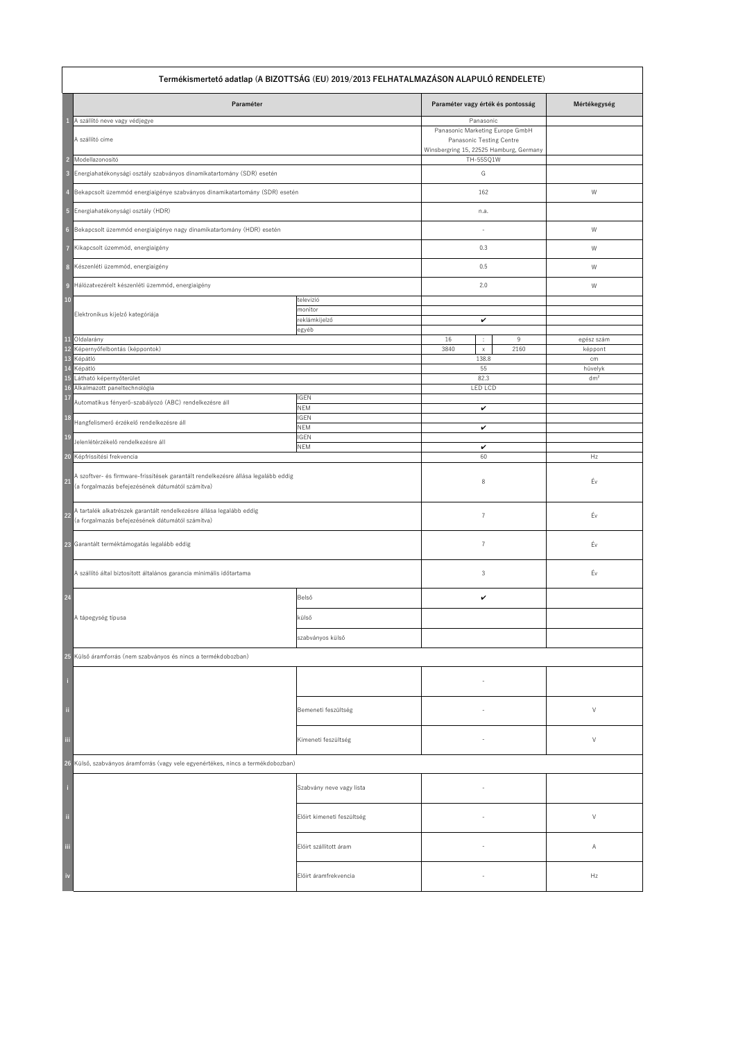| Termékismertető adatlap (A BIZOTTSÁG (EU) 2019/2013 FELHATALMAZÁSON ALAPULÓ RENDELETE)                                                      |                            |                                                                                                        |                       |  |
|---------------------------------------------------------------------------------------------------------------------------------------------|----------------------------|--------------------------------------------------------------------------------------------------------|-----------------------|--|
| Paraméter                                                                                                                                   |                            | Paraméter vagy érték és pontosság                                                                      | Mértékegység          |  |
| A szállító neve vagy védjegye<br>-1                                                                                                         |                            | Panasonic                                                                                              |                       |  |
| A szállító címe                                                                                                                             |                            | Panasonic Marketing Europe GmbH<br>Panasonic Testing Centre<br>Winsbergring 15, 22525 Hamburg, Germany |                       |  |
| 2 Modellazonosító                                                                                                                           |                            | TH-55SQ1W                                                                                              |                       |  |
| 3 Energiahatékonysági osztály szabványos dinamikatartomány (SDR) esetén                                                                     |                            | G                                                                                                      |                       |  |
| Bekapcsolt üzemmód energiaigénye szabványos dinamikatartomány (SDR) esetén<br>$\overline{4}$                                                |                            | 162                                                                                                    | W                     |  |
| 5 Energiahatékonysági osztály (HDR)                                                                                                         |                            | n.a.                                                                                                   |                       |  |
| 6 Bekapcsolt üzemmód energiaigénye nagy dinamikatartomány (HDR) esetén                                                                      |                            |                                                                                                        | W                     |  |
| 7 Kikapcsolt üzemmód, energiaigény                                                                                                          |                            | 0.3                                                                                                    | W                     |  |
| 8 Készenléti üzemmód, energiaigény                                                                                                          |                            | 0.5                                                                                                    | W                     |  |
| 9 Hálózatvezérelt készenléti üzemmód, energiaigény                                                                                          |                            | 2.0                                                                                                    | W                     |  |
| <b>10</b>                                                                                                                                   | televízió<br>monitor       |                                                                                                        |                       |  |
| Elektronikus kijelző kategóriája                                                                                                            | reklámkijelző              | $\checkmark$                                                                                           |                       |  |
|                                                                                                                                             | egyéb                      |                                                                                                        |                       |  |
| 11 Oldalarány<br>12 Képernyőfelbontás (képpontok)                                                                                           |                            | 16<br>9<br>$\mathbb{C}^2$<br>3840<br>2160<br>$\mathsf{X}$                                              | egész szám<br>képpont |  |
| 13 Képátló                                                                                                                                  |                            | 138.8                                                                                                  | cm                    |  |
| 14 Képátló                                                                                                                                  |                            | 55                                                                                                     | hüvelyk               |  |
| 15 Látható képernyőterület<br>16 Alkalmazott paneltechnológia                                                                               |                            | 82.3<br><b>LED LCD</b>                                                                                 | dm <sup>2</sup>       |  |
| <b>17</b>                                                                                                                                   | <b>IGEN</b>                |                                                                                                        |                       |  |
| Automatikus fényerő-szabályozó (ABC) rendelkezésre áll                                                                                      | <b>NEM</b>                 | $\checkmark$                                                                                           |                       |  |
| <b>18</b><br>Hangfelismerő érzékelő rendelkezésre áll                                                                                       | <b>IGEN</b><br><b>NEM</b>  | $\checkmark$                                                                                           |                       |  |
| <b>19</b><br>Jelenlétérzékelő rendelkezésre áll                                                                                             | <b>IGEN</b><br><b>NEM</b>  | $\checkmark$                                                                                           |                       |  |
| 20 Képfrissítési frekvencia                                                                                                                 |                            | 60                                                                                                     | Hz                    |  |
| A szoftver- és firmware-frissítések garantált rendelkezésre állása legalább eddig<br>21<br>(a forgalmazás befejezésének dátumától számítva) |                            | 8                                                                                                      | Év                    |  |
| A tartalék alkatrészek garantált rendelkezésre állása legalább eddig<br>22<br>(a forgalmazás befejezésének dátumától számítva)              |                            | $\overline{7}$                                                                                         | Év                    |  |
| 23 Garantált terméktámogatás legalább eddig                                                                                                 |                            | 7                                                                                                      | Év                    |  |
| A szállító által biztosított általános garancia minimális időtartama                                                                        |                            | 3                                                                                                      | Év                    |  |
| 24                                                                                                                                          | Belső                      | $\checkmark$                                                                                           |                       |  |
| A tápegység típusa                                                                                                                          | külső                      |                                                                                                        |                       |  |
|                                                                                                                                             | szabványos külső           |                                                                                                        |                       |  |
| 25 Külső áramforrás (nem szabványos és nincs a termékdobozban)                                                                              |                            |                                                                                                        |                       |  |
|                                                                                                                                             |                            |                                                                                                        |                       |  |
| Π                                                                                                                                           | Bemeneti feszültség        |                                                                                                        | $\vee$                |  |
| -iii                                                                                                                                        | Kimeneti feszültség        |                                                                                                        | $\vee$                |  |
| 26 Külső, szabványos áramforrás (vagy vele egyenértékes, nincs a termékdobozban)                                                            |                            |                                                                                                        |                       |  |
|                                                                                                                                             | Szabvány neve vagy lista   |                                                                                                        |                       |  |
| $\ddot{\mathbf{u}}$                                                                                                                         | Előírt kimeneti feszültség |                                                                                                        | $\vee$                |  |
| iii                                                                                                                                         | Előírt szállított áram     |                                                                                                        | A                     |  |
| iv                                                                                                                                          | Előírt áramfrekvencia      |                                                                                                        | Hz                    |  |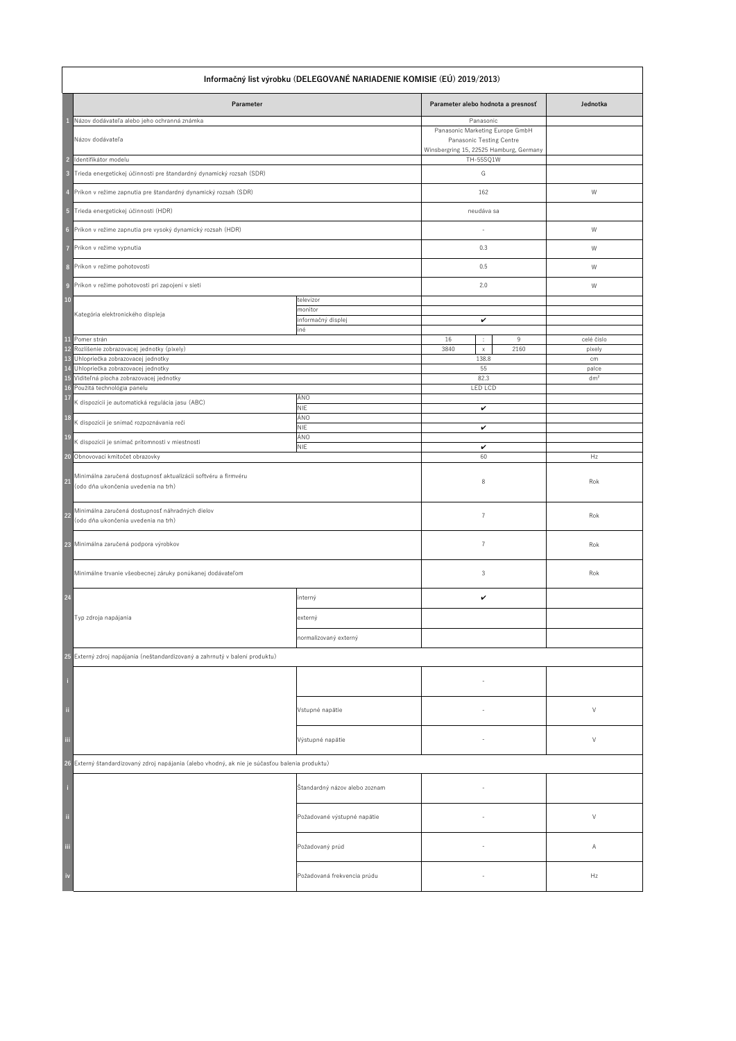|                                           | Informačný list výrobku (DELEGOVANÉ NARIADENIE KOMISIE (EÚ) 2019/2013)                                                                               |                                                   |                                                                                                                            |                                |  |
|-------------------------------------------|------------------------------------------------------------------------------------------------------------------------------------------------------|---------------------------------------------------|----------------------------------------------------------------------------------------------------------------------------|--------------------------------|--|
|                                           | Parameter                                                                                                                                            |                                                   | Parameter alebo hodnota a presnosť                                                                                         | Jednotka                       |  |
|                                           | Názov dodávateľa alebo jeho ochranná známka<br>Názov dodávateľa                                                                                      |                                                   | Panasonic<br>Panasonic Marketing Europe GmbH<br><b>Panasonic Testing Centre</b><br>Winsbergring 15, 22525 Hamburg, Germany |                                |  |
| $\overline{2}$<br>$\overline{\mathbf{3}}$ | Identifikátor modelu<br>Trieda energetickej účinnosti pre štandardný dynamický rozsah (SDR)                                                          |                                                   | TH-55SQ1W<br>G                                                                                                             |                                |  |
|                                           | Príkon v režime zapnutia pre štandardný dynamický rozsah (SDR)                                                                                       |                                                   | 162                                                                                                                        | W                              |  |
| $\sqrt{5}$                                | Trieda energetickej účinnosti (HDR)                                                                                                                  |                                                   | neudáva sa                                                                                                                 |                                |  |
| $6\phantom{1}6$                           | Príkon v režime zapnutia pre vysoký dynamický rozsah (HDR)                                                                                           |                                                   |                                                                                                                            | W                              |  |
|                                           | Príkon v režime vypnutia                                                                                                                             |                                                   | 0.3                                                                                                                        | W                              |  |
| 8                                         | Príkon v režime pohotovosti                                                                                                                          |                                                   | 0.5                                                                                                                        | W                              |  |
| $\overline{9}$                            | Príkon v režime pohotovosti pri zapojení v sieti                                                                                                     |                                                   | 2.0                                                                                                                        | W                              |  |
| $\boxed{10}$                              | Kategória elektronického displeja                                                                                                                    | televízor<br>monitor<br>informačný displej<br>iné | $\checkmark$                                                                                                               |                                |  |
| <b>11</b>                                 | Pomer strán<br>12 Rozlíšenie zobrazovacej jednotky (pixely)                                                                                          |                                                   | 16<br>9<br>÷<br>2160<br>3840<br>$\times$                                                                                   | celé číslo<br>pixely           |  |
| 13<br>14                                  | Uhlopriečka zobrazovacej jednotky<br>Uhlopriečka zobrazovacej jednotky<br>15 Viditeľná plocha zobrazovacej jednotky<br>16 Použitá technológia panelu |                                                   | 138.8<br>55<br>82.3<br>LED LCD                                                                                             | cm<br>palce<br>dm <sup>2</sup> |  |
| <b>17</b>                                 | K dispozícii je automatická regulácia jasu (ABC)                                                                                                     | ÁNO<br><b>NIE</b>                                 | $\checkmark$                                                                                                               |                                |  |
| <b>18</b>                                 | K dispozícii je snímač rozpoznávania reči                                                                                                            | ÁNO<br><b>NIE</b>                                 | $\checkmark$                                                                                                               |                                |  |
| <b>19</b>                                 | K dispozícii je snímač prítomnosti v miestnosti                                                                                                      | ÁNO<br><b>NIE</b>                                 | $\checkmark$                                                                                                               |                                |  |
| <b>20</b>                                 | Obnovovací kmitočet obrazovky                                                                                                                        |                                                   | 60                                                                                                                         | Hz                             |  |
| 21                                        | Minimálna zaručená dostupnosť aktualizácií softvéru a firmvéru<br>(odo dňa ukončenia uvedenia na trh)                                                |                                                   | 8                                                                                                                          | Rok                            |  |
| <b>22</b>                                 | Minimálna zaručená dostupnosť náhradných dielov<br>(odo dňa ukončenia uvedenia na trh)                                                               |                                                   |                                                                                                                            | Rok                            |  |
|                                           | 23 Minimálna zaručená podpora výrobkov                                                                                                               |                                                   |                                                                                                                            | Rok                            |  |
|                                           | Minimálne trvanie všeobecnej záruky ponúkanej dodávateľom                                                                                            |                                                   | 3                                                                                                                          | Rok                            |  |
| 24                                        |                                                                                                                                                      | interný                                           | $\checkmark$                                                                                                               |                                |  |
|                                           | Typ zdroja napájania                                                                                                                                 | externý                                           |                                                                                                                            |                                |  |
|                                           |                                                                                                                                                      | normalizovaný externý                             |                                                                                                                            |                                |  |
|                                           | 25 Externý zdroj napájania (neštandardizovaný a zahrnutý v balení produktu)                                                                          |                                                   |                                                                                                                            |                                |  |
|                                           |                                                                                                                                                      |                                                   |                                                                                                                            |                                |  |
| $\ddot{\rm n}$                            |                                                                                                                                                      | Vstupné napätie                                   |                                                                                                                            | V                              |  |
| iii                                       |                                                                                                                                                      | Výstupné napätie                                  |                                                                                                                            | $\vee$                         |  |
|                                           | 26 Externý štandardizovaný zdroj napájania (alebo vhodný, ak nie je súčasťou balenia produktu)                                                       |                                                   |                                                                                                                            |                                |  |
|                                           |                                                                                                                                                      | Štandardný názov alebo zoznam                     |                                                                                                                            |                                |  |
| $\ddot{a}$                                |                                                                                                                                                      | Požadované výstupné napätie                       | $\overline{\phantom{0}}$                                                                                                   | $\vee$                         |  |
| <br> -                                    |                                                                                                                                                      | Požadovaný prúd                                   | $\sim$                                                                                                                     | A                              |  |
| $\frac{1}{2}$                             |                                                                                                                                                      | Požadovaná frekvencia prúdu                       |                                                                                                                            | Hz                             |  |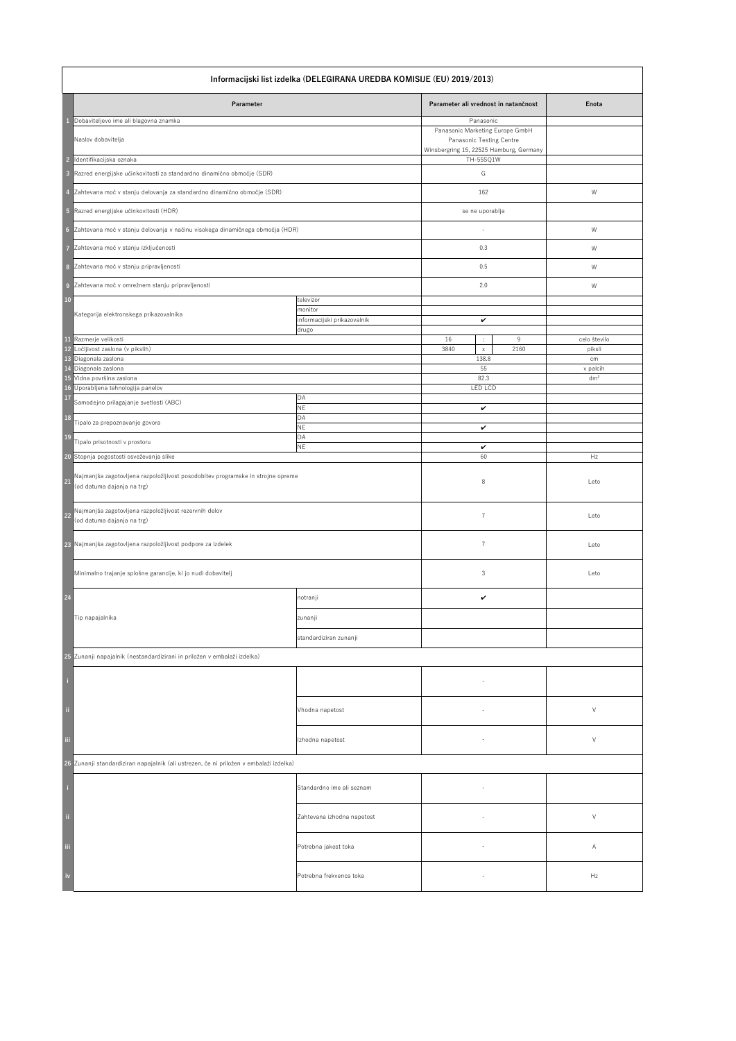|                                                    | Informacijski list izdelka (DELEGIRANA UREDBA KOMISIJE (EU) 2019/2013)                                                                                          |                                                              |                                                                                                                                       |                             |  |
|----------------------------------------------------|-----------------------------------------------------------------------------------------------------------------------------------------------------------------|--------------------------------------------------------------|---------------------------------------------------------------------------------------------------------------------------------------|-----------------------------|--|
|                                                    | Parameter                                                                                                                                                       |                                                              | Parameter ali vrednost in natančnost                                                                                                  | Enota                       |  |
| $\overline{2}$<br>$\overline{\mathbf{3}}$          | Dobaviteljevo ime ali blagovna znamka<br>Naslov dobavitelja<br>Identifikacijska oznaka<br>Razred energijske učinkovitosti za standardno dinamično območje (SDR) |                                                              | Panasonic<br>Panasonic Marketing Europe GmbH<br>Panasonic Testing Centre<br>Winsbergring 15, 22525 Hamburg, Germany<br>TH-55SQ1W<br>G |                             |  |
|                                                    | Zahtevana moč v stanju delovanja za standardno dinamično območje (SDR)                                                                                          |                                                              | 162                                                                                                                                   | W                           |  |
| $\sqrt{5}$                                         | Razred energijske učinkovitosti (HDR)                                                                                                                           |                                                              | se ne uporablja                                                                                                                       |                             |  |
| $6\phantom{1}6$                                    | Zahtevana moč v stanju delovanja v načinu visokega dinamičnega območja (HDR)                                                                                    |                                                              |                                                                                                                                       | W                           |  |
| 7                                                  | Zahtevana moč v stanju izključenosti                                                                                                                            |                                                              | 0.3                                                                                                                                   | W                           |  |
| 8                                                  | Zahtevana moč v stanju pripravljenosti                                                                                                                          |                                                              | 0.5                                                                                                                                   | W                           |  |
| $\overline{9}$                                     | Zahtevana moč v omrežnem stanju pripravljenosti                                                                                                                 |                                                              | 2.0                                                                                                                                   | W                           |  |
| $10$                                               | Kategorija elektronskega prikazovalnika                                                                                                                         | televizor<br>monitor<br>informacijski prikazovalnik<br>drugo | $\checkmark$                                                                                                                          |                             |  |
| 11                                                 | Razmerje velikosti<br>12 Ločljivost zaslona (v pikslih)                                                                                                         |                                                              | 16<br>9<br>$\mathcal{L}_{\mathcal{C}}$<br>2160<br>3840                                                                                | celo število<br>piksli      |  |
|                                                    | 13 Diagonala zaslona                                                                                                                                            |                                                              | $\mathsf{X}^-$<br>138.8                                                                                                               | cm                          |  |
| 14                                                 | Diagonala zaslona<br>15 Vidna površina zaslona                                                                                                                  |                                                              | 55<br>82.3                                                                                                                            | v palcih<br>dm <sup>2</sup> |  |
| 17                                                 | 16 Uporabljena tehnologija panelov                                                                                                                              | DA                                                           | LED LCD                                                                                                                               |                             |  |
|                                                    | Samodejno prilagajanje svetlosti (ABC)                                                                                                                          | <b>NE</b>                                                    | $\checkmark$                                                                                                                          |                             |  |
| <b>18</b><br><b>19</b>                             | Tipalo za prepoznavanje govora                                                                                                                                  | DA<br><b>NE</b><br>DA                                        | $\checkmark$                                                                                                                          |                             |  |
|                                                    | Tipalo prisotnosti v prostoru<br>20 Stopnja pogostosti osveževanja slike                                                                                        | <b>NE</b>                                                    | $\checkmark$<br>60                                                                                                                    | Hz                          |  |
| 21                                                 | Najmanjša zagotovljena razpoložljivost posodobitev programske in strojne opreme<br>(od datuma dajanja na trg)                                                   |                                                              | 8                                                                                                                                     | Leto                        |  |
| 22                                                 | Najmanjša zagotovljena razpoložljivost rezervnih delov<br>(od datuma dajanja na trg)                                                                            |                                                              | 7                                                                                                                                     | Leto                        |  |
|                                                    | 23 Najmanjša zagotovljena razpoložljivost podpore za izdelek                                                                                                    |                                                              |                                                                                                                                       | Leto                        |  |
|                                                    | Minimalno trajanje splošne garancije, ki jo nudi dobavitelj                                                                                                     |                                                              | 3                                                                                                                                     | Leto                        |  |
| 24                                                 |                                                                                                                                                                 | notranji                                                     | $\checkmark$                                                                                                                          |                             |  |
|                                                    | Tip napajalnika                                                                                                                                                 | zunanji                                                      |                                                                                                                                       |                             |  |
|                                                    |                                                                                                                                                                 | standardiziran zunanji                                       |                                                                                                                                       |                             |  |
|                                                    | 25 Zunanji napajalnik (nestandardizirani in priložen v embalaži izdelka)                                                                                        |                                                              |                                                                                                                                       |                             |  |
| $\bar{\rm n}$                                      |                                                                                                                                                                 | Vhodna napetost                                              |                                                                                                                                       | $\vee$                      |  |
| $\ddot{\rm m}$                                     |                                                                                                                                                                 | Izhodna napetost                                             |                                                                                                                                       | $\vee$                      |  |
|                                                    | 26 Zunanji standardiziran napajalnik (ali ustrezen, če ni priložen v embalaži izdelka)                                                                          |                                                              |                                                                                                                                       |                             |  |
| -i                                                 |                                                                                                                                                                 | Standardno ime ali seznam                                    |                                                                                                                                       |                             |  |
| $\ddot{a}$                                         |                                                                                                                                                                 | Zahtevana izhodna napetost                                   | $\overline{\phantom{a}}$                                                                                                              | $\vee$                      |  |
| <br> -<br> iii                                     |                                                                                                                                                                 | Potrebna jakost toka                                         |                                                                                                                                       | A                           |  |
| $\begin{array}{c} \n\cdot \text{iv} \n\end{array}$ |                                                                                                                                                                 | Potrebna frekvenca toka                                      | $\overline{\phantom{a}}$                                                                                                              | Hz                          |  |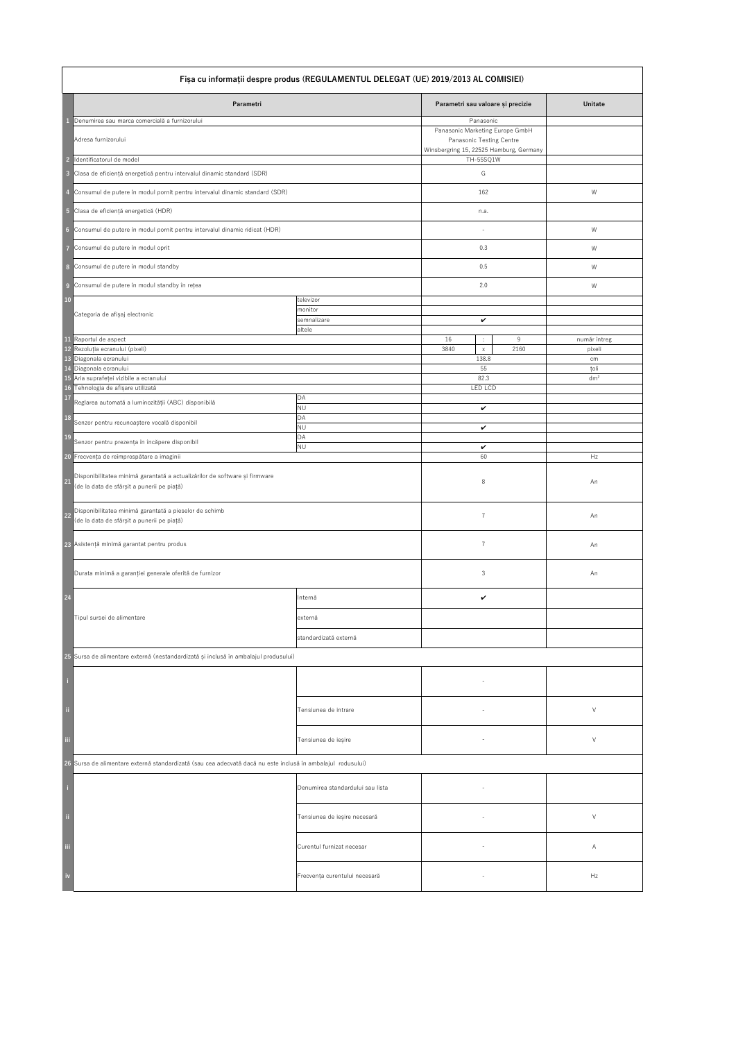| Fișa cu informații despre produs (REGULAMENTUL DELEGAT (UE) 2019/2013 AL COMISIEI) |                                                                                                                          |                                  |                                                                                                                            |           |                         |
|------------------------------------------------------------------------------------|--------------------------------------------------------------------------------------------------------------------------|----------------------------------|----------------------------------------------------------------------------------------------------------------------------|-----------|-------------------------|
|                                                                                    | Parametri                                                                                                                |                                  | Parametri sau valoare și precizie                                                                                          |           | <b>Unitate</b>          |
|                                                                                    | Denumirea sau marca comercială a furnizorului<br>Adresa furnizorului                                                     |                                  | Panasonic<br>Panasonic Marketing Europe GmbH<br><b>Panasonic Testing Centre</b><br>Winsbergring 15, 22525 Hamburg, Germany |           |                         |
| $\overline{2}$                                                                     | Identificatorul de model                                                                                                 |                                  | TH-55SQ1W                                                                                                                  |           |                         |
| $\overline{3}$                                                                     | Clasa de eficiență energetică pentru intervalul dinamic standard (SDR)                                                   |                                  | G                                                                                                                          |           |                         |
|                                                                                    | Consumul de putere în modul pornit pentru intervalul dinamic standard (SDR)                                              |                                  | 162                                                                                                                        |           | W                       |
| $-5$                                                                               | Clasa de eficiență energetică (HDR)                                                                                      |                                  | n.a.                                                                                                                       |           |                         |
| $6\phantom{1}6$                                                                    | Consumul de putere în modul pornit pentru intervalul dinamic ridicat (HDR)                                               |                                  |                                                                                                                            |           | W                       |
|                                                                                    | Consumul de putere în modul oprit                                                                                        |                                  | 0.3                                                                                                                        |           | W                       |
| 8                                                                                  | Consumul de putere în modul standby                                                                                      |                                  | 0.5                                                                                                                        |           | W                       |
|                                                                                    |                                                                                                                          |                                  |                                                                                                                            |           |                         |
| $\overline{9}$<br><b>10</b>                                                        | Consumul de putere în modul standby în rețea                                                                             | televizor                        | 2.0                                                                                                                        |           | W                       |
|                                                                                    | Categoria de afișaj electronic                                                                                           | monitor<br>semnalizare<br>altele | $\checkmark$                                                                                                               |           |                         |
|                                                                                    | 11 Raportul de aspect<br>12 Rezoluția ecranului (pixeli)                                                                 |                                  | 16<br>$\mathbb{Z}^n$<br>3840<br>$\mathsf{X}^-$                                                                             | 9<br>2160 | număr întreg<br>pixeli  |
|                                                                                    | 13 Diagonala ecranului                                                                                                   |                                  | 138.8                                                                                                                      |           | cm                      |
| 14                                                                                 | Diagonala ecranului<br>15 Aria suprafeței vizibile a ecranului                                                           |                                  | 55<br>82.3                                                                                                                 |           | țoli<br>dm <sup>2</sup> |
| <b>17</b>                                                                          | 16 Tehnologia de afișare utilizată                                                                                       | DA                               | <b>LED LCD</b>                                                                                                             |           |                         |
|                                                                                    | Reglarea automată a luminozității (ABC) disponibilă                                                                      | <b>NU</b>                        | $\checkmark$                                                                                                               |           |                         |
| <b>18</b>                                                                          | Senzor pentru recunoaștere vocală disponibil                                                                             | DA<br><b>NU</b>                  | $\checkmark$                                                                                                               |           |                         |
| <b>19</b>                                                                          | Senzor pentru prezența în încăpere disponibil                                                                            | DA<br><b>NU</b>                  | $\checkmark$                                                                                                               |           |                         |
|                                                                                    | 20 Frecvența de reîmprospătare a imaginii                                                                                |                                  | 60                                                                                                                         |           | Hz                      |
| 21                                                                                 | Disponibilitatea minimă garantată a actualizărilor de software și firmware<br>(de la data de sfârșit a punerii pe piață) |                                  | 8                                                                                                                          |           | An                      |
| $22$                                                                               | Disponibilitatea minimă garantată a pieselor de schimb<br>(de la data de sfârșit a punerii pe piață)                     |                                  | 7                                                                                                                          |           | An                      |
|                                                                                    | 23 Asistență minimă garantat pentru produs                                                                               |                                  | $\overline{7}$                                                                                                             |           | An                      |
|                                                                                    | Durata minimă a garanției generale oferită de furnizor                                                                   |                                  | 3                                                                                                                          |           | An                      |
| 24                                                                                 |                                                                                                                          | Internă                          | $\checkmark$                                                                                                               |           |                         |
|                                                                                    | Tipul sursei de alimentare                                                                                               | externă                          |                                                                                                                            |           |                         |
|                                                                                    |                                                                                                                          | standardizată externă            |                                                                                                                            |           |                         |
|                                                                                    | 25 Sursa de alimentare externă (nestandardizată și inclusă în ambalajul produsului)                                      |                                  |                                                                                                                            |           |                         |
|                                                                                    |                                                                                                                          |                                  |                                                                                                                            |           |                         |
|                                                                                    |                                                                                                                          |                                  |                                                                                                                            |           |                         |
| $\ddot{\rm n}$                                                                     |                                                                                                                          | Tensiunea de intrare             |                                                                                                                            |           | $\vee$                  |
| $\ddot{\text{iii}}$                                                                |                                                                                                                          | Tensiunea de ieșire              |                                                                                                                            |           | $\vee$                  |
|                                                                                    | 26 Sursa de alimentare externă standardizată (sau cea adecvată dacă nu este inclusă în ambalajul rodusului)              |                                  |                                                                                                                            |           |                         |
|                                                                                    |                                                                                                                          | Denumirea standardului sau lista |                                                                                                                            |           |                         |
| $\ddot{0}$                                                                         |                                                                                                                          | Tensiunea de ieșire necesară     |                                                                                                                            |           | $\vee$                  |
| $^{\rm{iii}}$                                                                      |                                                                                                                          | Curentul furnizat necesar        |                                                                                                                            |           | A                       |
| $\mathbf{i}$                                                                       |                                                                                                                          | Frecvența curentului necesară    |                                                                                                                            |           | Hz                      |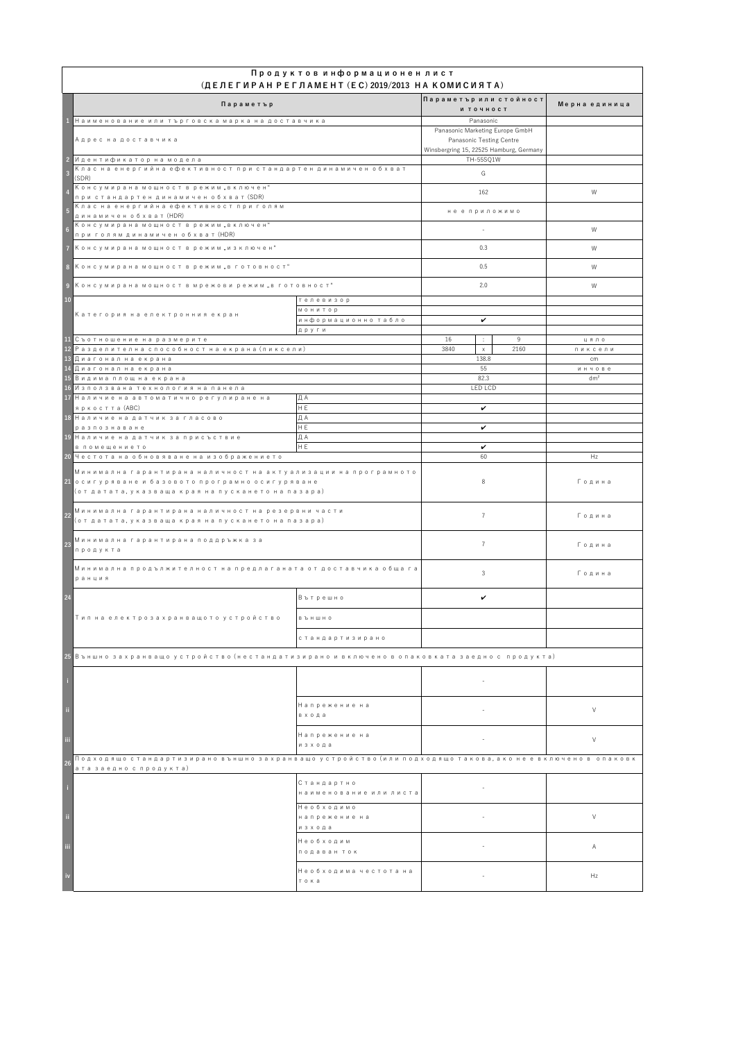|                         | Продуктов информационен лист<br>$(AEJ)$ (ДЕЛЕГИРАН РЕГЛАМЕНТ (EC) 2019/2013 НА КОМИСИЯТА)                                                                               |                                      |                                                                    |                 |  |
|-------------------------|-------------------------------------------------------------------------------------------------------------------------------------------------------------------------|--------------------------------------|--------------------------------------------------------------------|-----------------|--|
|                         | Параметър                                                                                                                                                               |                                      | Параметър или стойност<br>И ТОЧНОСТ                                | Мерна единица   |  |
|                         | Наименование или търговска марка на доставчика                                                                                                                          |                                      | Panasonic                                                          |                 |  |
|                         | Адрес на доставчика                                                                                                                                                     |                                      | Panasonic Marketing Europe GmbH<br><b>Panasonic Testing Centre</b> |                 |  |
|                         | <mark>-2 И</mark> дентификатор на модела                                                                                                                                |                                      | Winsbergring 15, 22525 Hamburg, Germany<br>TH-55SQ1W               |                 |  |
|                         | Клас на енергийна ефективност при стандартен динамичен обхват                                                                                                           |                                      |                                                                    |                 |  |
| $\overline{\mathbf{3}}$ | (SDR)                                                                                                                                                                   |                                      | G                                                                  |                 |  |
|                         | Консумирана мощност в режим "включен"                                                                                                                                   |                                      | 162                                                                | W               |  |
|                         | при стандартен динамичен обхват (SDR)<br> Клас на енергийна ефективност при голям                                                                                       |                                      |                                                                    |                 |  |
| $\overline{5}$          | динамичен обхват (HDR)                                                                                                                                                  |                                      | не е приложимо                                                     |                 |  |
| $6\overline{6}$         | Консумирана мощност в режим "включен"                                                                                                                                   |                                      | $\overline{\phantom{a}}$                                           | W               |  |
|                         | при голям динамичен обхват (HDR)                                                                                                                                        |                                      |                                                                    |                 |  |
|                         | 7   Консумирана мощност в режим "изключен"                                                                                                                              |                                      | 0.3                                                                | W               |  |
|                         | <mark>в К</mark> онсумирана мощност в режим "в готовност"                                                                                                               |                                      | 0.5                                                                | W               |  |
|                         | │9│Kонсумирана мощност в мрежови режим "в готовност"                                                                                                                    |                                      | 2.0                                                                | W               |  |
| <b>10</b>               |                                                                                                                                                                         | телевизор                            |                                                                    |                 |  |
|                         | Категория на електронния екран                                                                                                                                          | монитор                              |                                                                    |                 |  |
|                         |                                                                                                                                                                         | информационно табло                  | $\checkmark$                                                       |                 |  |
|                         | 11 Съотношение на размерите                                                                                                                                             | други                                | 16<br>9<br>$\mathbb{C}^{\times}$                                   | ЦЯЛО            |  |
|                         | $\vert$ 12 Разделителна способност на екрана (пиксели)                                                                                                                  |                                      | 3840<br>2160<br>$\mathsf{X}$                                       | пиксели         |  |
|                         | 13 Диагонал на екрана                                                                                                                                                   |                                      | 138.8                                                              | cm              |  |
|                         | 14 Диагонал на екрана                                                                                                                                                   |                                      | 55                                                                 | ИНЧОВЕ          |  |
|                         | 15 Видима площ на екрана                                                                                                                                                |                                      | 82.3                                                               | dm <sup>2</sup> |  |
|                         | 16 Използвана технология на панела                                                                                                                                      |                                      | <b>LED LCD</b>                                                     |                 |  |
|                         | 17 Наличие на автоматично регулиране на<br> яркостта (ABC)                                                                                                              | ДА<br>HE                             | $\checkmark$                                                       |                 |  |
|                         | 18 Наличие на датчик за гласово                                                                                                                                         | ДА                                   |                                                                    |                 |  |
|                         | разпознаване                                                                                                                                                            | H E                                  | $\checkmark$                                                       |                 |  |
|                         | 19 Наличие на датчик за присъствие                                                                                                                                      | ДА                                   |                                                                    |                 |  |
|                         | в помещението                                                                                                                                                           | IH EI                                | $\checkmark$                                                       |                 |  |
|                         | 20 Честота на обновяване на изображението                                                                                                                               |                                      | 60                                                                 | Hz              |  |
|                         | Минимална гарантирана наличност на актуализации на програмното<br>21 осигуряване и базовото програмно осигуряване<br> (от датата, указваща края на пускането на пазара) |                                      | 8                                                                  | Година          |  |
| $\boxed{22}$            | Минимална гарантирана наличност на резервни части<br>(от датата, указваща края на пускането на пазара)                                                                  |                                      |                                                                    | Година          |  |
| 23                      | Минимална гарантирана поддръжка за<br>продукта                                                                                                                          |                                      | $\overline{7}$                                                     | Година          |  |
|                         | Минимална продължителност на предлаганата от доставчика обща га<br>ранция                                                                                               |                                      | 3                                                                  | Година          |  |
| 24                      |                                                                                                                                                                         | Вътрешно                             | $\checkmark$                                                       |                 |  |
|                         | Тип на електрозахранващото устройство                                                                                                                                   | <b>B</b> B H W H O                   |                                                                    |                 |  |
|                         |                                                                                                                                                                         | стандартизирано                      |                                                                    |                 |  |
|                         | 25 Външно захранващо устройство (нестандатизирано и включено в опаковката заедно с продукта)                                                                            |                                      |                                                                    |                 |  |
|                         |                                                                                                                                                                         |                                      |                                                                    |                 |  |
|                         |                                                                                                                                                                         |                                      |                                                                    |                 |  |
|                         |                                                                                                                                                                         | Напрежение на<br>входа               | $\equiv$                                                           | $\vee$          |  |
| -iii                    |                                                                                                                                                                         | Напрежение на<br>изхода              | $\sim$                                                             | $\vee$          |  |
| 26                      | Подходящо стандартизирано външно захранващо устройство (или подходящо такова, ако не е включено в  опаковк                                                              |                                      |                                                                    |                 |  |
|                         | ата заедно с продукта)                                                                                                                                                  |                                      |                                                                    |                 |  |
|                         |                                                                                                                                                                         | Стандартно<br>наименование или листа |                                                                    |                 |  |
| -ii                     |                                                                                                                                                                         | Необходимо<br>напрежение на          | $\frac{1}{2}$ and $\frac{1}{2}$ and $\frac{1}{2}$                  | $\vee$          |  |
|                         |                                                                                                                                                                         | изхода                               |                                                                    |                 |  |
|                         |                                                                                                                                                                         | Необходим                            |                                                                    |                 |  |
| Ϊij                     |                                                                                                                                                                         | подаван ток                          | $\sim$                                                             | A               |  |
|                         |                                                                                                                                                                         |                                      |                                                                    |                 |  |
|                         |                                                                                                                                                                         | Необходима честота на<br>тока        | $\sim$                                                             | Hz              |  |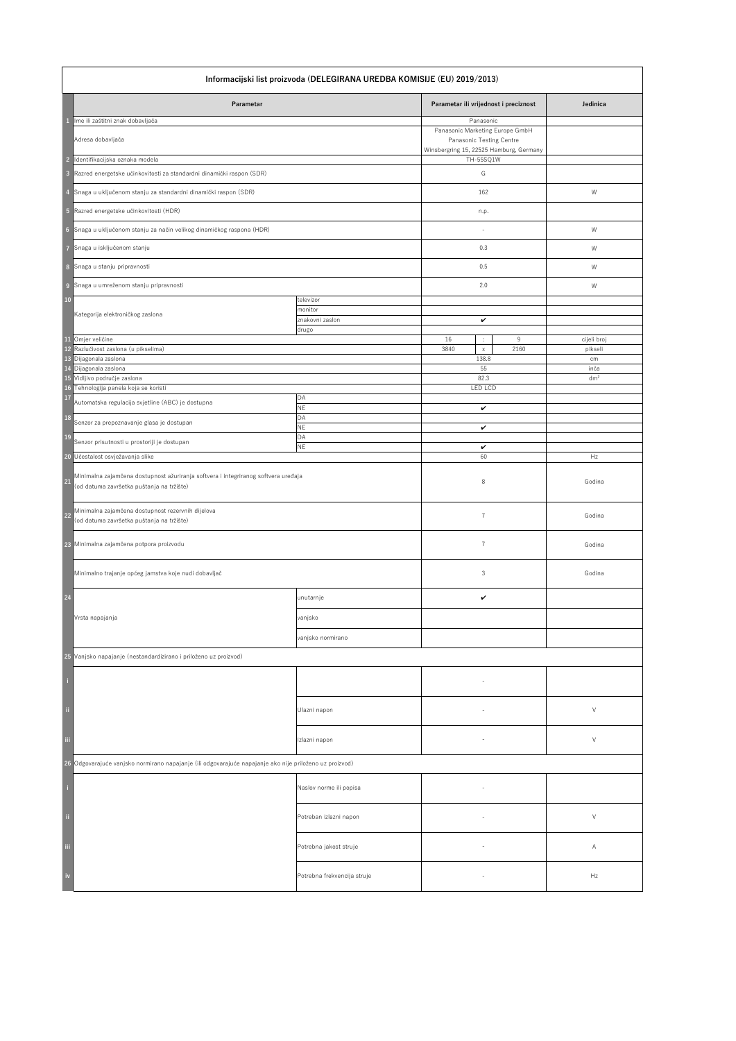|                         | Informacijski list proizvoda (DELEGIRANA UREDBA KOMISIJE (EU) 2019/2013)                                                        |                             |                                                                     |                 |  |
|-------------------------|---------------------------------------------------------------------------------------------------------------------------------|-----------------------------|---------------------------------------------------------------------|-----------------|--|
|                         | Parametar                                                                                                                       |                             | Parametar ili vrijednost i preciznost                               | Jedinica        |  |
|                         | Ime ili zaštitni znak dobavljača                                                                                                |                             | Panasonic<br>Panasonic Marketing Europe GmbH                        |                 |  |
|                         | Adresa dobavljača                                                                                                               |                             | Panasonic Testing Centre<br>Winsbergring 15, 22525 Hamburg, Germany |                 |  |
| <b>D</b>                | Identifikacijska oznaka modela                                                                                                  |                             | TH-55SQ1W                                                           |                 |  |
| $\overline{\mathbf{3}}$ | Razred energetske učinkovitosti za standardni dinamički raspon (SDR)                                                            |                             | G                                                                   |                 |  |
|                         | Snaga u uključenom stanju za standardni dinamički raspon (SDR)                                                                  |                             | 162                                                                 | W               |  |
| $-5$                    | Razred energetske učinkovitosti (HDR)                                                                                           |                             | n.p.                                                                |                 |  |
| $6\phantom{1}6$         | Snaga u uključenom stanju za način velikog dinamičkog raspona (HDR)                                                             |                             |                                                                     | W               |  |
|                         | Snaga u isključenom stanju                                                                                                      |                             | 0.3                                                                 | W               |  |
| 8                       | Snaga u stanju pripravnosti                                                                                                     |                             | 0.5                                                                 | W               |  |
| $\overline{9}$          | Snaga u umreženom stanju pripravnosti                                                                                           |                             | 2.0                                                                 | W               |  |
| <b>10</b>               |                                                                                                                                 | televizor<br>monitor        |                                                                     |                 |  |
|                         | Kategorija elektroničkog zaslona                                                                                                | znakovni zaslon             | $\checkmark$                                                        |                 |  |
| <b>11</b>               | Omjer veličine                                                                                                                  | drugo                       | 16<br>9<br>÷                                                        | cijeli broj     |  |
|                         | 12 Razlučivost zaslona (u pikselima)                                                                                            |                             | 2160<br>3840<br>$\mathsf{X}$                                        | pikseli         |  |
|                         | 13 Dijagonala zaslona<br>14 Dijagonala zaslona                                                                                  |                             | 138.8<br>55                                                         | cm<br>inča      |  |
|                         | 15 Vidljivo područje zaslona                                                                                                    |                             | 82.3                                                                | dm <sup>2</sup> |  |
| <b>17</b>               | 16 Tehnologija panela koja se koristi                                                                                           | DA                          | LED LCD                                                             |                 |  |
|                         | Automatska regulacija svjetline (ABC) je dostupna                                                                               | $\mathsf{NE}\xspace$        | $\checkmark$                                                        |                 |  |
| <b>18</b>               | Senzor za prepoznavanje glasa je dostupan                                                                                       | DA<br><b>NE</b>             | $\checkmark$                                                        |                 |  |
| <b>19</b>               | Senzor prisutnosti u prostoriji je dostupan                                                                                     | DA<br><b>NE</b>             | $\checkmark$                                                        |                 |  |
|                         | 20 Učestalost osvježavanja slike                                                                                                |                             | 60                                                                  | Hz              |  |
| 21                      | Minimalna zajamčena dostupnost ažuriranja softvera i integriranog softvera uređaja<br>(od datuma završetka puštanja na tržište) |                             | 8                                                                   | Godina          |  |
| <b>22</b>               | Minimalna zajamčena dostupnost rezervnih dijelova<br>(od datuma završetka puštanja na tržište)                                  |                             | $\overline{7}$                                                      | Godina          |  |
|                         | 23 Minimalna zajamčena potpora proizvodu                                                                                        |                             | 7                                                                   | Godina          |  |
|                         | Minimalno trajanje općeg jamstva koje nudi dobavljač                                                                            |                             | $\mathfrak{Z}$                                                      | Godina          |  |
| 24                      |                                                                                                                                 | unutarnje                   | $\checkmark$                                                        |                 |  |
|                         | Vrsta napajanja                                                                                                                 | vanjsko                     |                                                                     |                 |  |
|                         |                                                                                                                                 | vanjsko normirano           |                                                                     |                 |  |
|                         | 25 Vanjsko napajanje (nestandardizirano i priloženo uz proizvod)                                                                |                             |                                                                     |                 |  |
|                         |                                                                                                                                 |                             |                                                                     |                 |  |
|                         |                                                                                                                                 |                             |                                                                     |                 |  |
| ji.                     |                                                                                                                                 | Ulazni napon                |                                                                     | $\vee$          |  |
| $\,$ iii                |                                                                                                                                 | Izlazni napon               |                                                                     | V               |  |
|                         | 26 Odgovarajuće vanjsko normirano napajanje (ili odgovarajuće napajanje ako nije priloženo uz proizvod)                         |                             |                                                                     |                 |  |
|                         |                                                                                                                                 | Naslov norme ili popisa     |                                                                     |                 |  |
| $\ddot{\rm n}$          |                                                                                                                                 | Potreban izlazni napon      |                                                                     | $\vee$          |  |
| $\,$ iii                |                                                                                                                                 | Potrebna jakost struje      | $\sim$                                                              | A               |  |
| $\mathbf{i}$            |                                                                                                                                 | Potrebna frekvencija struje |                                                                     | Hz              |  |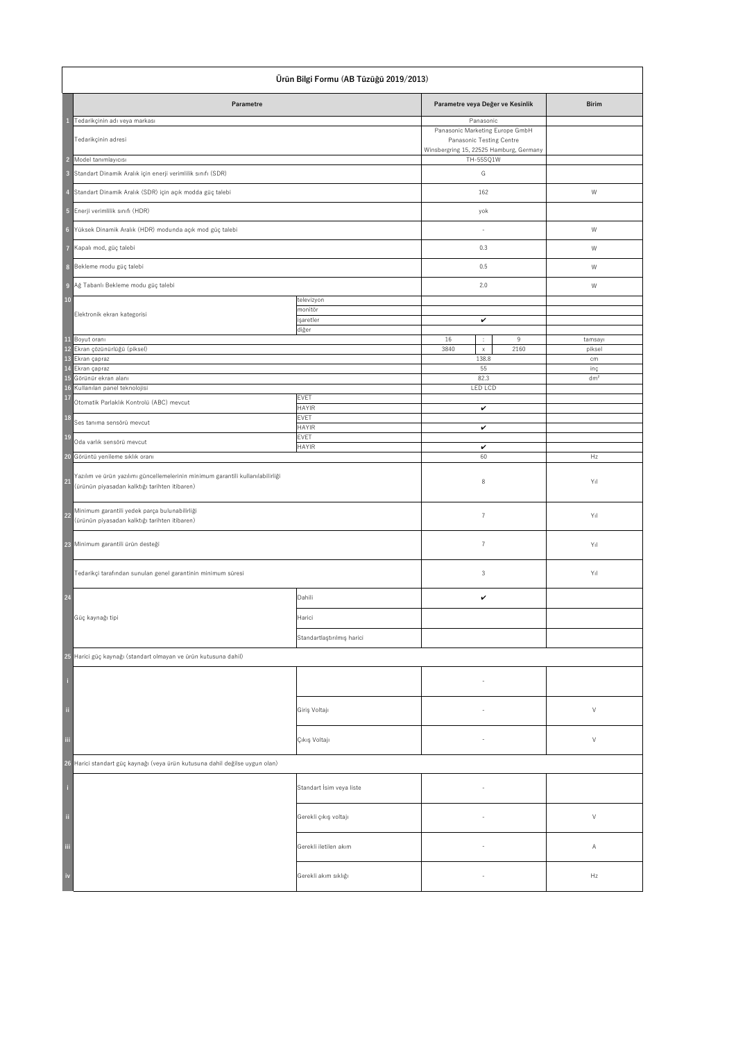| Ürün Bilgi Formu (AB Tüzüğü 2019/2013)                                                                                                 |                             |                                                                            |                 |
|----------------------------------------------------------------------------------------------------------------------------------------|-----------------------------|----------------------------------------------------------------------------|-----------------|
| <b>Parametre</b>                                                                                                                       |                             | Parametre veya Değer ve Kesinlik                                           | <b>Birim</b>    |
| Tedarikçinin adı veya markası                                                                                                          |                             | Panasonic<br>Panasonic Marketing Europe GmbH                               |                 |
| Tedarikçinin adresi                                                                                                                    |                             | <b>Panasonic Testing Centre</b><br>Winsbergring 15, 22525 Hamburg, Germany |                 |
| Model tanımlayıcısı<br>$\overline{2}$                                                                                                  |                             | TH-55SQ1W                                                                  |                 |
| Standart Dinamik Aralık için enerji verimlilik sınıfı (SDR)<br>$\overline{\mathbf{3}}$                                                 |                             | G                                                                          |                 |
| Standart Dinamik Aralık (SDR) için açık modda güç talebi<br>$\overline{4}$                                                             |                             | 162                                                                        | W               |
| $-5$<br>Enerji verimlilik sınıfı (HDR)                                                                                                 |                             | yok                                                                        |                 |
| Yüksek Dinamik Aralık (HDR) modunda açık mod güç talebi<br>$6\phantom{1}6$                                                             |                             | $\overline{\phantom{a}}$                                                   | W               |
| Kapalı mod, güç talebi<br>-7                                                                                                           |                             | 0.3                                                                        | W               |
| Bekleme modu güç talebi<br>8                                                                                                           |                             | 0.5                                                                        | W               |
| Ağ Tabanlı Bekleme modu güç talebi<br>9                                                                                                |                             | 2.0                                                                        | W               |
| <b>10</b>                                                                                                                              | televizyon<br>monitör       |                                                                            |                 |
| Elektronik ekran kategorisi                                                                                                            | işaretler                   | $\checkmark$                                                               |                 |
| 11 Boyut oranı                                                                                                                         | diğer                       | 16<br>9<br>$\mathbb{Z}^n$                                                  | tamsayı         |
| 12 Ekran çözünürlüğü (piksel)                                                                                                          |                             | 3840<br>2160<br>X                                                          | piksel          |
| 13 Ekran çapraz<br>14 Ekran çapraz                                                                                                     |                             | 138.8<br>55                                                                | cm<br>inç       |
| 15 Görünür ekran alanı                                                                                                                 |                             | 82.3                                                                       | dm <sup>2</sup> |
| 16 Kullanılan panel teknolojisi                                                                                                        |                             | LED LCD                                                                    |                 |
| <b>17</b><br>Otomatik Parlaklık Kontrolü (ABC) mevcut                                                                                  | <b>EVET</b><br><b>HAYIR</b> | $\checkmark$                                                               |                 |
| <b>18</b><br>Ses tanıma sensörü mevcut                                                                                                 | <b>EVET</b><br><b>HAYIR</b> | $\checkmark$                                                               |                 |
| <b>19</b><br>Oda varlık sensörü mevcut                                                                                                 | <b>EVET</b><br><b>HAYIR</b> | $\checkmark$                                                               |                 |
| 20 Görüntü yenileme sıklık oranı                                                                                                       |                             | 60                                                                         | Hz              |
| Yazılım ve ürün yazılımı güncellemelerinin minimum garantili kullanılabilirliği<br>21<br>(ürünün piyasadan kalktığı tarihten itibaren) |                             | 8                                                                          | Y <sub>1</sub>  |
| Minimum garantili yedek parça bulunabilirliği<br> 22 <br>(ürünün piyasadan kalktığı tarihten itibaren)                                 |                             | $\overline{7}$                                                             | Yıl             |
| 23 Minimum garantili ürün desteği                                                                                                      |                             | $\overline{7}$                                                             | Y <sub>1</sub>  |
| Tedarikçi tarafından sunulan genel garantinin minimum süresi                                                                           |                             | $\mathfrak{Z}$                                                             | Yıl             |
| 24                                                                                                                                     | Dahili                      | $\checkmark$                                                               |                 |
| Güç kaynağı tipi                                                                                                                       | Harici                      |                                                                            |                 |
|                                                                                                                                        | Standartlaştırılmış harici  |                                                                            |                 |
| 25 Harici güç kaynağı (standart olmayan ve ürün kutusuna dahil)                                                                        |                             |                                                                            |                 |
| -i                                                                                                                                     |                             |                                                                            |                 |
| $\ddot{\rm n}$                                                                                                                         | Giriş Voltajı               |                                                                            | $\vee$          |
| $\,$ iii                                                                                                                               | Çıkış Voltajı               | $\overline{\phantom{a}}$                                                   | $\vee$          |
| 26 Harici standart güç kaynağı (veya ürün kutusuna dahil değilse uygun olan)                                                           |                             |                                                                            |                 |
| -i                                                                                                                                     | Standart İsim veya liste    |                                                                            |                 |
| $\mathfrak{g}$                                                                                                                         | Gerekli çıkış voltajı       | $\overline{\phantom{a}}$                                                   | $\vee$          |
| iii                                                                                                                                    | Gerekli iletilen akım       | $\overline{\phantom{a}}$                                                   | A               |
| iv                                                                                                                                     | Gerekli akım sıklığı        | $\overline{\phantom{a}}$                                                   | Hz              |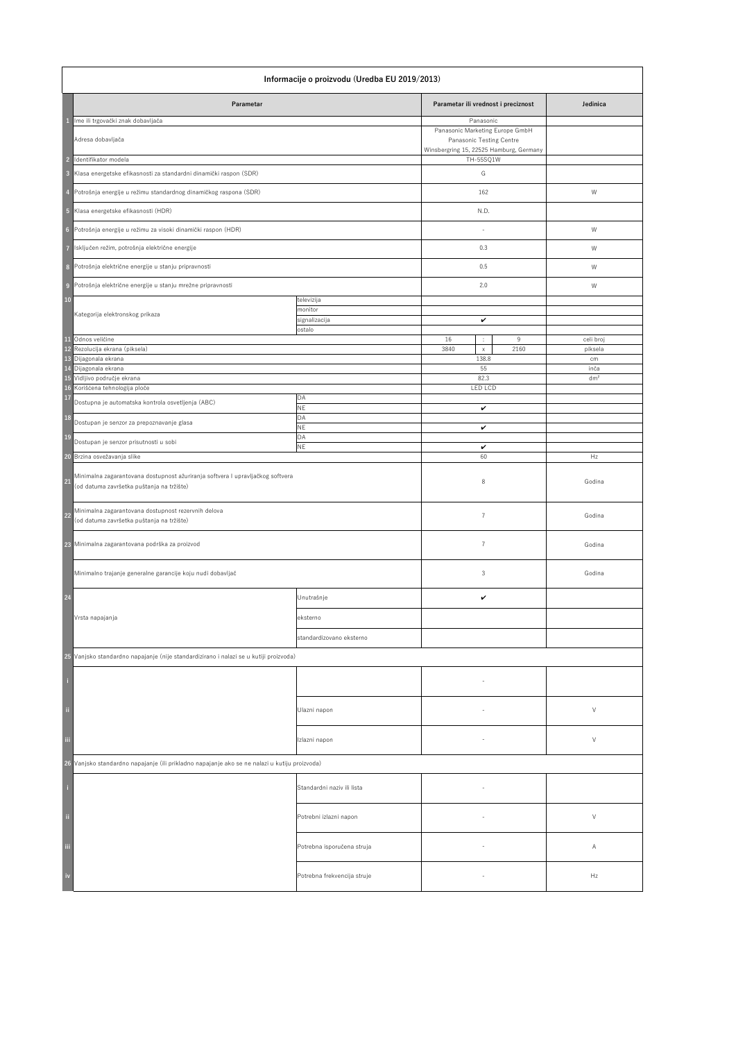| Informacije o proizvodu (Uredba EU 2019/2013)                                                                                                                                                    |                                                  |                                                                                                                                              |                      |  |
|--------------------------------------------------------------------------------------------------------------------------------------------------------------------------------------------------|--------------------------------------------------|----------------------------------------------------------------------------------------------------------------------------------------------|----------------------|--|
| Parametar                                                                                                                                                                                        |                                                  | Parametar ili vrednost i preciznost                                                                                                          | Jedinica             |  |
| Ime ili trgovački znak dobavljača<br>Adresa dobavljača<br>Identifikator modela<br>$\overline{2}$<br>$\overline{\mathbf{3}}$<br>Klasa energetske efikasnosti za standardni dinamički raspon (SDR) |                                                  | Panasonic<br>Panasonic Marketing Europe GmbH<br><b>Panasonic Testing Centre</b><br>Winsbergring 15, 22525 Hamburg, Germany<br>TH-55SQ1W<br>G |                      |  |
| Potrošnja energije u režimu standardnog dinamičkog raspona (SDR)                                                                                                                                 |                                                  | 162                                                                                                                                          | W                    |  |
| Klasa energetske efikasnosti (HDR)<br>$\sqrt{5}$                                                                                                                                                 |                                                  | N.D.                                                                                                                                         |                      |  |
| Potrošnja energije u režimu za visoki dinamički raspon (HDR)<br>$6\phantom{1}6$                                                                                                                  |                                                  |                                                                                                                                              | W                    |  |
| Isključen režim, potrošnja električne energije                                                                                                                                                   |                                                  | 0.3                                                                                                                                          | W                    |  |
| 8<br>Potrošnja električne energije u stanju pripravnosti                                                                                                                                         |                                                  | 0.5                                                                                                                                          | W                    |  |
| Potrošnja električne energije u stanju mrežne pripravnosti<br>$\overline{9}$                                                                                                                     |                                                  | 2.0                                                                                                                                          | W                    |  |
| 10<br>Kategorija elektronskog prikaza                                                                                                                                                            | televizija<br>monitor<br>signalizacija<br>ostalo | $\checkmark$                                                                                                                                 |                      |  |
| Odnos veličine<br><b>11</b><br>12 Rezolucija ekrana (piksela)                                                                                                                                    |                                                  | 16<br>9<br>$\mathcal{I}_\mathrm{c}$<br>3840<br>2160<br>$\mathsf X$                                                                           | celi broj<br>piksela |  |
| 13 Dijagonala ekrana<br>14 Dijagonala ekrana                                                                                                                                                     |                                                  | 138.8<br>55                                                                                                                                  | cm<br>inča           |  |
| 15 Vidljivo područje ekrana<br>16 Korišćena tehnologija ploče<br><b>17</b><br>Dostupna je automatska kontrola osvetljenja (ABC)                                                                  | DA                                               | 82.3<br><b>LED LCD</b>                                                                                                                       | dm <sup>2</sup>      |  |
| <b>18</b><br>Dostupan je senzor za prepoznavanje glasa                                                                                                                                           | <b>NE</b><br><b>DA</b>                           | $\checkmark$                                                                                                                                 |                      |  |
| <b>19</b><br>Dostupan je senzor prisutnosti u sobi                                                                                                                                               | <b>NE</b><br>DA                                  | $\checkmark$                                                                                                                                 |                      |  |
| Brzina osvežavanja slike<br>20                                                                                                                                                                   | <b>NE</b>                                        | $\checkmark$<br>60                                                                                                                           | Hz                   |  |
| Minimalna zagarantovana dostupnost ažuriranja softvera I upravljačkog softvera<br>21<br>(od datuma završetka puštanja na tržište)                                                                |                                                  | 8                                                                                                                                            | Godina               |  |
| Minimalna zagarantovana dostupnost rezervnih delova<br><b>22</b><br>(od datuma završetka puštanja na tržište)                                                                                    |                                                  | $\overline{7}$                                                                                                                               | Godina               |  |
| 23 Minimalna zagarantovana podrška za proizvod                                                                                                                                                   |                                                  | $\overline{7}$                                                                                                                               | Godina               |  |
| Minimalno trajanje generalne garancije koju nudi dobavljač                                                                                                                                       |                                                  | $\mathfrak{Z}$                                                                                                                               | Godina               |  |
| 24                                                                                                                                                                                               | Unutrašnje                                       | $\checkmark$                                                                                                                                 |                      |  |
| Vrsta napajanja                                                                                                                                                                                  | eksterno                                         |                                                                                                                                              |                      |  |
|                                                                                                                                                                                                  | standardizovano eksterno                         |                                                                                                                                              |                      |  |
| 25 Vanjsko standardno napajanje (nije standardizirano i nalazi se u kutiji proizvoda)                                                                                                            |                                                  |                                                                                                                                              |                      |  |
|                                                                                                                                                                                                  |                                                  |                                                                                                                                              |                      |  |
| $\mathbf{H}$                                                                                                                                                                                     | Ulazni napon                                     | $\overline{\phantom{a}}$                                                                                                                     | $\vee$               |  |
| $\overline{111}$                                                                                                                                                                                 | Izlazni napon                                    |                                                                                                                                              | $\vee$               |  |
| 26 Vanjsko standardno napajanje (ili prikladno napajanje ako se ne nalazi u kutiju proizvoda)                                                                                                    |                                                  |                                                                                                                                              |                      |  |
|                                                                                                                                                                                                  | Standardni naziv ili lista                       |                                                                                                                                              |                      |  |
| -ii                                                                                                                                                                                              | Potrebni izlazni napon                           |                                                                                                                                              | $\vee$               |  |
| Ϊij                                                                                                                                                                                              | Potrebna isporučena struja                       |                                                                                                                                              | A                    |  |
| iv                                                                                                                                                                                               | Potrebna frekvencija struje                      |                                                                                                                                              | Hz                   |  |